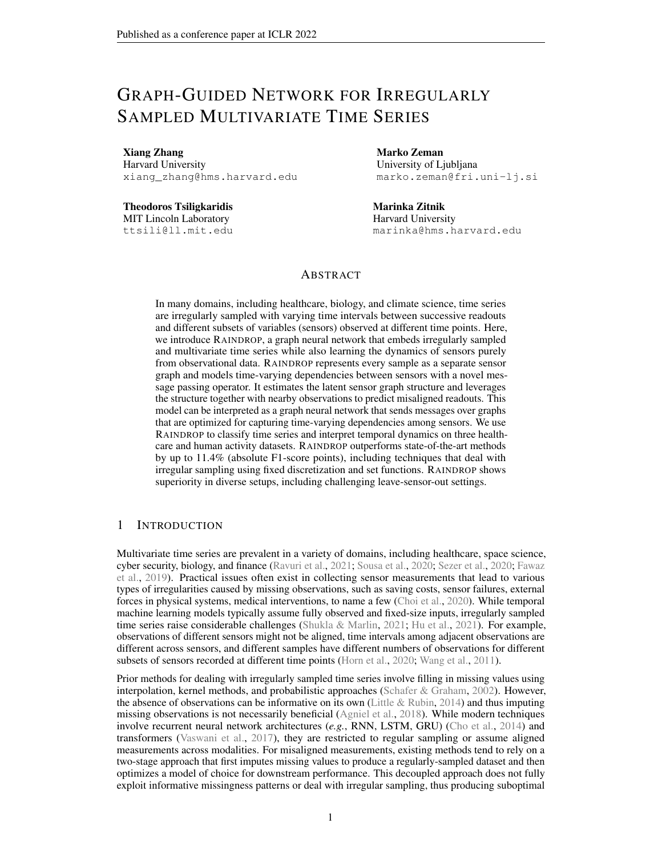# GRAPH-GUIDED NETWORK FOR IRREGULARLY SAMPLED MULTIVARIATE TIME SERIES

Xiang Zhang Harvard University xiang\_zhang@hms.harvard.edu

Theodoros Tsiligkaridis MIT Lincoln Laboratory ttsili@ll.mit.edu

Marko Zeman University of Ljubljana marko.zeman@fri.uni-lj.si

Marinka Zitnik Harvard University marinka@hms.harvard.edu

# ABSTRACT

In many domains, including healthcare, biology, and climate science, time series are irregularly sampled with varying time intervals between successive readouts and different subsets of variables (sensors) observed at different time points. Here, we introduce RAINDROP, a graph neural network that embeds irregularly sampled and multivariate time series while also learning the dynamics of sensors purely from observational data. RAINDROP represents every sample as a separate sensor graph and models time-varying dependencies between sensors with a novel message passing operator. It estimates the latent sensor graph structure and leverages the structure together with nearby observations to predict misaligned readouts. This model can be interpreted as a graph neural network that sends messages over graphs that are optimized for capturing time-varying dependencies among sensors. We use RAINDROP to classify time series and interpret temporal dynamics on three healthcare and human activity datasets. RAINDROP outperforms state-of-the-art methods by up to 11.4% (absolute F1-score points), including techniques that deal with irregular sampling using fixed discretization and set functions. RAINDROP shows superiority in diverse setups, including challenging leave-sensor-out settings.

# 1 INTRODUCTION

Multivariate time series are prevalent in a variety of domains, including healthcare, space science, cyber security, biology, and finance [\(Ravuri et al.,](#page-11-0) [2021;](#page-11-0) [Sousa et al.,](#page-12-0) [2020;](#page-12-0) [Sezer et al.,](#page-11-1) [2020;](#page-11-1) [Fawaz](#page-10-0) [et al.,](#page-10-0) [2019\)](#page-10-0). Practical issues often exist in collecting sensor measurements that lead to various types of irregularities caused by missing observations, such as saving costs, sensor failures, external forces in physical systems, medical interventions, to name a few [\(Choi et al.,](#page-10-1) [2020\)](#page-10-1). While temporal machine learning models typically assume fully observed and fixed-size inputs, irregularly sampled time series raise considerable challenges [\(Shukla & Marlin,](#page-12-1) [2021;](#page-12-1) [Hu et al.,](#page-10-2) [2021\)](#page-10-2). For example, observations of different sensors might not be aligned, time intervals among adjacent observations are different across sensors, and different samples have different numbers of observations for different subsets of sensors recorded at different time points [\(Horn et al.,](#page-10-3) [2020;](#page-10-3) [Wang et al.,](#page-12-2) [2011\)](#page-12-2).

Prior methods for dealing with irregularly sampled time series involve filling in missing values using interpolation, kernel methods, and probabilistic approaches [\(Schafer & Graham,](#page-11-2) [2002\)](#page-11-2). However, the absence of observations can be informative on its own [\(Little & Rubin,](#page-11-3) [2014\)](#page-11-3) and thus imputing missing observations is not necessarily beneficial [\(Agniel et al.,](#page-10-4) [2018\)](#page-10-4). While modern techniques involve recurrent neural network architectures (*e.g.*, RNN, LSTM, GRU) [\(Cho et al.,](#page-10-5) [2014\)](#page-10-5) and transformers [\(Vaswani et al.,](#page-12-3) [2017\)](#page-12-3), they are restricted to regular sampling or assume aligned measurements across modalities. For misaligned measurements, existing methods tend to rely on a two-stage approach that first imputes missing values to produce a regularly-sampled dataset and then optimizes a model of choice for downstream performance. This decoupled approach does not fully exploit informative missingness patterns or deal with irregular sampling, thus producing suboptimal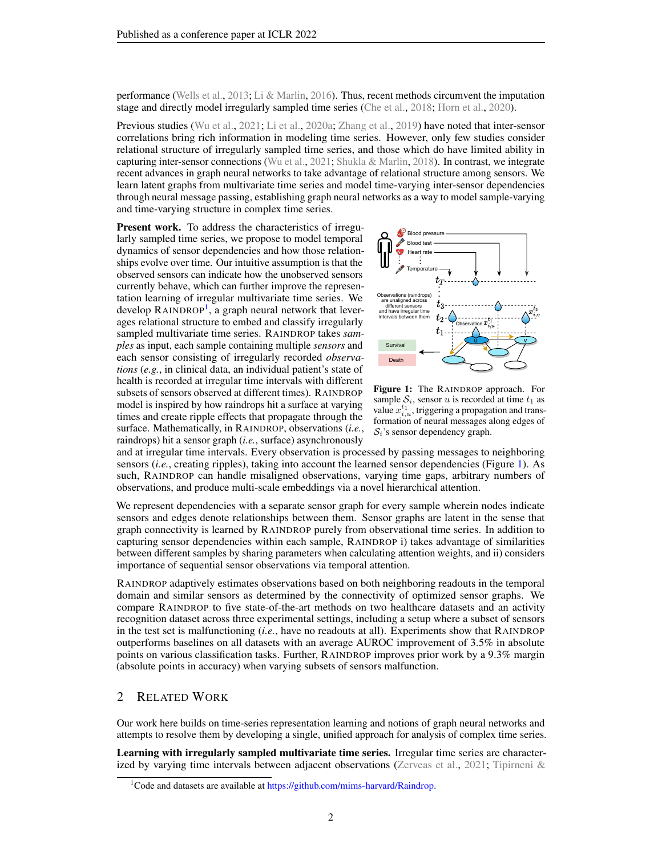performance [\(Wells et al.,](#page-12-4) [2013;](#page-12-4) [Li & Marlin,](#page-11-4) [2016\)](#page-11-4). Thus, recent methods circumvent the imputation stage and directly model irregularly sampled time series [\(Che et al.,](#page-10-6) [2018;](#page-10-6) [Horn et al.,](#page-10-3) [2020\)](#page-10-3).

Previous studies [\(Wu et al.,](#page-12-5) [2021;](#page-12-5) [Li et al.,](#page-11-5) [2020a;](#page-11-5) [Zhang et al.,](#page-13-0) [2019\)](#page-13-0) have noted that inter-sensor correlations bring rich information in modeling time series. However, only few studies consider relational structure of irregularly sampled time series, and those which do have limited ability in capturing inter-sensor connections [\(Wu et al.,](#page-12-5) [2021;](#page-12-5) [Shukla & Marlin,](#page-12-6) [2018\)](#page-12-6). In contrast, we integrate recent advances in graph neural networks to take advantage of relational structure among sensors. We learn latent graphs from multivariate time series and model time-varying inter-sensor dependencies through neural message passing, establishing graph neural networks as a way to model sample-varying and time-varying structure in complex time series.

Present work. To address the characteristics of irregularly sampled time series, we propose to model temporal dynamics of sensor dependencies and how those relationships evolve over time. Our intuitive assumption is that the observed sensors can indicate how the unobserved sensors currently behave, which can further improve the representation learning of irregular multivariate time series. We develop RAINDROP<sup>[1](#page-1-0)</sup>, a graph neural network that leverages relational structure to embed and classify irregularly sampled multivariate time series. RAINDROP takes *samples* as input, each sample containing multiple *sensors* and each sensor consisting of irregularly recorded *observations* (*e.g.*, in clinical data, an individual patient's state of health is recorded at irregular time intervals with different subsets of sensors observed at different times). RAINDROP model is inspired by how raindrops hit a surface at varying times and create ripple effects that propagate through the surface. Mathematically, in RAINDROP, observations (*i.e.*, raindrops) hit a sensor graph (*i.e.*, surface) asynchronously

<span id="page-1-1"></span>

Figure 1: The RAINDROP approach. For sample  $S_i$ , sensor u is recorded at time  $t_1$  as value  $x_{i,u}^{t_1}$ , triggering a propagation and transformation of neural messages along edges of  $S_i$ 's sensor dependency graph.

and at irregular time intervals. Every observation is processed by passing messages to neighboring sensors (*i.e.*, creating ripples), taking into account the learned sensor dependencies (Figure [1\)](#page-1-1). As such, RAINDROP can handle misaligned observations, varying time gaps, arbitrary numbers of observations, and produce multi-scale embeddings via a novel hierarchical attention.

We represent dependencies with a separate sensor graph for every sample wherein nodes indicate sensors and edges denote relationships between them. Sensor graphs are latent in the sense that graph connectivity is learned by RAINDROP purely from observational time series. In addition to capturing sensor dependencies within each sample, RAINDROP i) takes advantage of similarities between different samples by sharing parameters when calculating attention weights, and ii) considers importance of sequential sensor observations via temporal attention.

RAINDROP adaptively estimates observations based on both neighboring readouts in the temporal domain and similar sensors as determined by the connectivity of optimized sensor graphs. We compare RAINDROP to five state-of-the-art methods on two healthcare datasets and an activity recognition dataset across three experimental settings, including a setup where a subset of sensors in the test set is malfunctioning (*i.e.*, have no readouts at all). Experiments show that RAINDROP outperforms baselines on all datasets with an average AUROC improvement of 3.5% in absolute points on various classification tasks. Further, RAINDROP improves prior work by a 9.3% margin (absolute points in accuracy) when varying subsets of sensors malfunction.

### 2 RELATED WORK

Our work here builds on time-series representation learning and notions of graph neural networks and attempts to resolve them by developing a single, unified approach for analysis of complex time series.

Learning with irregularly sampled multivariate time series. Irregular time series are characterized by varying time intervals between adjacent observations [\(Zerveas et al.,](#page-13-1) [2021;](#page-13-1) [Tipirneni &](#page-12-7)

<span id="page-1-0"></span><sup>&</sup>lt;sup>1</sup>Code and datasets are available at [https://github.com/mims-harvard/Raindrop.](#page-12-7)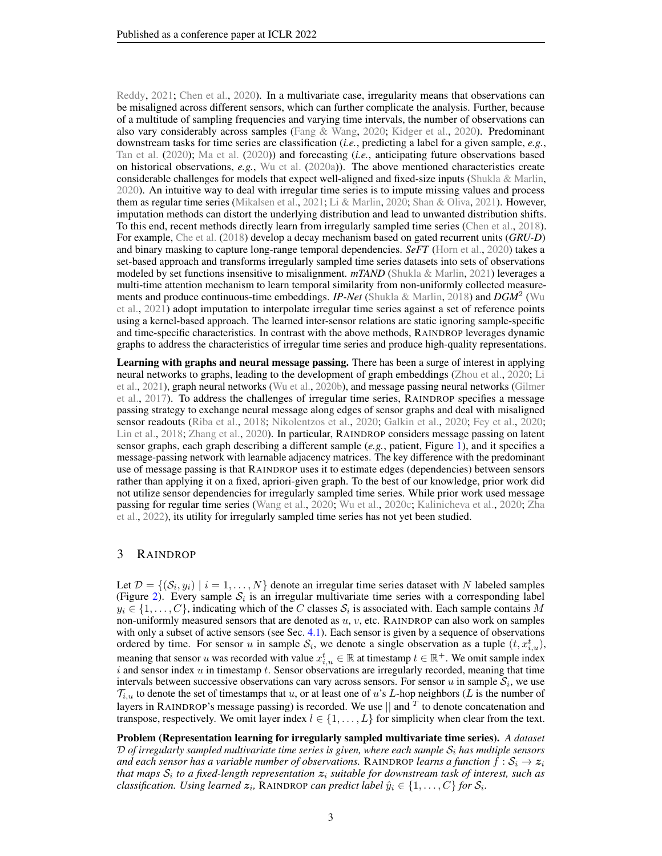[Reddy,](#page-12-7) [2021;](#page-12-7) [Chen et al.,](#page-10-7) [2020\)](#page-10-7). In a multivariate case, irregularity means that observations can be misaligned across different sensors, which can further complicate the analysis. Further, because of a multitude of sampling frequencies and varying time intervals, the number of observations can also vary considerably across samples [\(Fang & Wang,](#page-10-8) [2020;](#page-10-8) [Kidger et al.,](#page-11-6) [2020\)](#page-11-6). Predominant downstream tasks for time series are classification (*i.e.*, predicting a label for a given sample, *e.g.*, [Tan et al.](#page-12-8) [\(2020\)](#page-12-8); [Ma et al.](#page-11-7) [\(2020\)](#page-11-7)) and forecasting (*i.e.*, anticipating future observations based on historical observations, *e.g.*, [Wu et al.](#page-12-9) [\(2020a\)](#page-12-9)). The above mentioned characteristics create considerable challenges for models that expect well-aligned and fixed-size inputs [\(Shukla & Marlin,](#page-12-10) [2020\)](#page-12-10). An intuitive way to deal with irregular time series is to impute missing values and process them as regular time series [\(Mikalsen et al.,](#page-11-8) [2021;](#page-11-8) [Li & Marlin,](#page-11-9) [2020;](#page-11-9) [Shan & Oliva,](#page-12-11) [2021\)](#page-12-11). However, imputation methods can distort the underlying distribution and lead to unwanted distribution shifts. To this end, recent methods directly learn from irregularly sampled time series [\(Chen et al.,](#page-10-9) [2018\)](#page-10-9). For example, [Che et al.](#page-10-6) [\(2018\)](#page-10-6) develop a decay mechanism based on gated recurrent units (*GRU-D*) and binary masking to capture long-range temporal dependencies. *SeFT* [\(Horn et al.,](#page-10-3) [2020\)](#page-10-3) takes a set-based approach and transforms irregularly sampled time series datasets into sets of observations modeled by set functions insensitive to misalignment. *mTAND* [\(Shukla & Marlin,](#page-12-1) [2021\)](#page-12-1) leverages a multi-time attention mechanism to learn temporal similarity from non-uniformly collected measurements and produce continuous-time embeddings. *IP-Net* [\(Shukla & Marlin,](#page-12-6) [2018\)](#page-12-6) and *DGM*<sup>2</sup> [\(Wu](#page-12-5) [et al.,](#page-12-5) [2021\)](#page-12-5) adopt imputation to interpolate irregular time series against a set of reference points using a kernel-based approach. The learned inter-sensor relations are static ignoring sample-specific and time-specific characteristics. In contrast with the above methods, RAINDROP leverages dynamic graphs to address the characteristics of irregular time series and produce high-quality representations.

Learning with graphs and neural message passing. There has been a surge of interest in applying neural networks to graphs, leading to the development of graph embeddings [\(Zhou et al.,](#page-13-2) [2020;](#page-13-2) [Li](#page-11-10) [et al.,](#page-11-10) [2021\)](#page-11-10), graph neural networks [\(Wu et al.,](#page-12-12) [2020b\)](#page-12-12), and message passing neural networks [\(Gilmer](#page-10-10) [et al.,](#page-10-10) [2017\)](#page-10-10). To address the challenges of irregular time series, RAINDROP specifies a message passing strategy to exchange neural message along edges of sensor graphs and deal with misaligned sensor readouts [\(Riba et al.,](#page-11-11) [2018;](#page-11-11) [Nikolentzos et al.,](#page-11-12) [2020;](#page-11-12) [Galkin et al.,](#page-10-11) [2020;](#page-10-11) [Fey et al.,](#page-10-12) [2020;](#page-10-12) [Lin et al.,](#page-11-13) [2018;](#page-11-13) [Zhang et al.,](#page-13-3) [2020\)](#page-13-3). In particular, RAINDROP considers message passing on latent sensor graphs, each graph describing a different sample (*e.g.*, patient, Figure [1\)](#page-1-1), and it specifies a message-passing network with learnable adjacency matrices. The key difference with the predominant use of message passing is that RAINDROP uses it to estimate edges (dependencies) between sensors rather than applying it on a fixed, apriori-given graph. To the best of our knowledge, prior work did not utilize sensor dependencies for irregularly sampled time series. While prior work used message passing for regular time series [\(Wang et al.,](#page-12-13) [2020;](#page-12-13) [Wu et al.,](#page-12-14) [2020c;](#page-12-14) [Kalinicheva et al.,](#page-10-13) [2020;](#page-10-13) [Zha](#page-13-4) [et al.,](#page-13-4) [2022\)](#page-13-4), its utility for irregularly sampled time series has not yet been studied.

### 3 RAINDROP

Let  $\mathcal{D} = \{(\mathcal{S}_i, y_i) \mid i = 1, \dots, N\}$  denote an irregular time series dataset with N labeled samples (Figure [2\)](#page-3-0). Every sample  $S_i$  is an irregular multivariate time series with a corresponding label  $y_i \in \{1, \ldots, C\}$ , indicating which of the C classes  $\mathcal{S}_i$  is associated with. Each sample contains M non-uniformly measured sensors that are denoted as u, v, etc. RAINDROP can also work on samples with only a subset of active sensors (see Sec. [4.1\)](#page-7-0). Each sensor is given by a sequence of observations ordered by time. For sensor u in sample  $S_i$ , we denote a single observation as a tuple  $(t, x_{i,u}^t)$ , meaning that sensor u was recorded with value  $x_{i,u}^t \in \mathbb{R}$  at timestamp  $t \in \mathbb{R}^+$ . We omit sample index i and sensor index  $u$  in timestamp  $t$ . Sensor observations are irregularly recorded, meaning that time intervals between successive observations can vary across sensors. For sensor u in sample  $S_i$ , we use  $\mathcal{T}_{i,u}$  to denote the set of timestamps that u, or at least one of u's L-hop neighbors (L is the number of layers in RAINDROP's message passing) is recorded. We use  $\parallel$  and  $^T$  to denote concatenation and transpose, respectively. We omit layer index  $l \in \{1, \ldots, L\}$  for simplicity when clear from the text.

Problem (Representation learning for irregularly sampled multivariate time series). *A dataset*  $D$  *of irregularly sampled multivariate time series is given, where each sample*  $S_i$  *has multiple sensors and each sensor has a variable number of observations.* RAINDROP *learns a function*  $f : S_i \to z_i$ that maps  $\mathcal{S}_i$  to a fixed-length representation  $\boldsymbol{z}_i$  suitable for downstream task of interest, such as *classification. Using learned*  $z_i$ , RAINDROP *can predict label*  $\hat{y}_i \in \{1, \ldots, C\}$  *for*  $\mathcal{S}_i$ *.*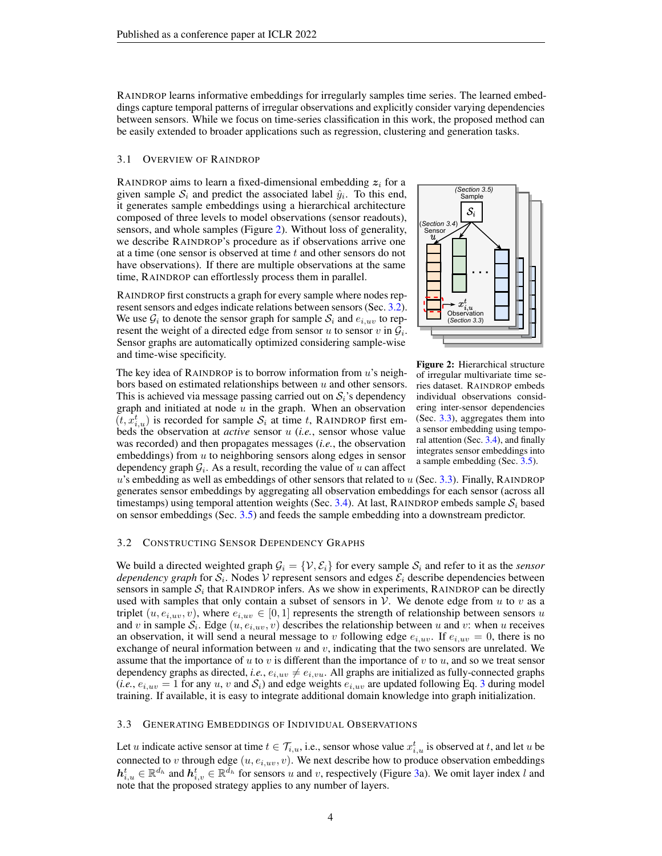RAINDROP learns informative embeddings for irregularly samples time series. The learned embeddings capture temporal patterns of irregular observations and explicitly consider varying dependencies between sensors. While we focus on time-series classification in this work, the proposed method can be easily extended to broader applications such as regression, clustering and generation tasks.

#### 3.1 OVERVIEW OF RAINDROP

RAINDROP aims to learn a fixed-dimensional embedding  $z_i$  for a given sample  $S_i$  and predict the associated label  $\hat{y}_i$ . To this end, it generates sample embeddings using a hierarchical architecture composed of three levels to model observations (sensor readouts), sensors, and whole samples (Figure [2\)](#page-3-0). Without loss of generality, we describe RAINDROP's procedure as if observations arrive one at a time (one sensor is observed at time t and other sensors do not have observations). If there are multiple observations at the same time, RAINDROP can effortlessly process them in parallel.

RAINDROP first constructs a graph for every sample where nodes rep-resent sensors and edges indicate relations between sensors (Sec. [3.2\)](#page-3-2). We use  $\mathcal{G}_i$  to denote the sensor graph for sample  $\mathcal{S}_i$  and  $e_{i,uv}$  to represent the weight of a directed edge from sensor u to sensor v in  $\mathcal{G}_i$ . Sensor graphs are automatically optimized considering sample-wise and time-wise specificity.

The key idea of RAINDROP is to borrow information from  $u$ 's neighbors based on estimated relationships between  $u$  and other sensors. This is achieved via message passing carried out on  $S_i$ 's dependency graph and initiated at node  $u$  in the graph. When an observation  $(t, \dot{x}_{i,u}^t)$  is recorded for sample  $S_i$  at time t, RAINDROP first embeds the observation at *active* sensor u (*i.e.*, sensor whose value was recorded) and then propagates messages (*i.e.*, the observation embeddings) from  $u$  to neighboring sensors along edges in sensor dependency graph  $G_i$ . As a result, recording the value of u can affect

<span id="page-3-0"></span>

Figure 2: Hierarchical structure of irregular multivariate time series dataset. RAINDROP embeds individual observations considering inter-sensor dependencies (Sec. [3.3\)](#page-3-1), aggregates them into a sensor embedding using temporal attention (Sec. [3.4\)](#page-5-0), and finally integrates sensor embeddings into a sample embedding (Sec. [3.5\)](#page-6-0).

 $u$ 's embedding as well as embeddings of other sensors that related to  $u$  (Sec. [3.3\)](#page-3-1). Finally, RAINDROP generates sensor embeddings by aggregating all observation embeddings for each sensor (across all timestamps) using temporal attention weights (Sec. [3.4\)](#page-5-0). At last, RAINDROP embeds sample  $S_i$  based on sensor embeddings (Sec. [3.5\)](#page-6-0) and feeds the sample embedding into a downstream predictor.

### <span id="page-3-2"></span>3.2 CONSTRUCTING SENSOR DEPENDENCY GRAPHS

We build a directed weighted graph  $G_i = \{V, E_i\}$  for every sample  $S_i$  and refer to it as the *sensor dependency graph* for  $S_i$ . Nodes  $V$  represent sensors and edges  $\mathcal{E}_i$  describe dependencies between sensors in sample  $S_i$  that RAINDROP infers. As we show in experiments, RAINDROP can be directly used with samples that only contain a subset of sensors in  $\mathcal V$ . We denote edge from u to v as a triplet  $(u, e_{i,uv}, v)$ , where  $e_{i,uv} \in [0, 1]$  represents the strength of relationship between sensors u and v in sample  $S_i$ . Edge  $(u, e_{i,uv}, v)$  describes the relationship between u and v: when u receives an observation, it will send a neural message to v following edge  $e_{i,uv}$ . If  $e_{i,uv} = 0$ , there is no exchange of neural information between  $u$  and  $v$ , indicating that the two sensors are unrelated. We assume that the importance of u to v is different than the importance of v to u, and so we treat sensor dependency graphs as directed, *i.e.*,  $e_{i,uv} \neq e_{i,vu}$ . All graphs are initialized as fully-connected graphs  $(i.e., e_{i,uv} = 1$  for any u, v and  $S_i$ ) and edge weights  $e_{i,uv}$  are updated following Eq. [3](#page-5-1) during model training. If available, it is easy to integrate additional domain knowledge into graph initialization.

### <span id="page-3-1"></span>3.3 GENERATING EMBEDDINGS OF INDIVIDUAL OBSERVATIONS

Let u indicate active sensor at time  $t \in \mathcal{T}_{i,u}$ , i.e., sensor whose value  $x_{i,u}^t$  is observed at t, and let u be connected to v through edge  $(u, e_{i,uv}, v)$ . We next describe how to produce observation embeddings  $h_{i,u}^t \in \mathbb{R}^{d_h}$  and  $h_{i,v}^t \in \mathbb{R}^{d_h}$  for sensors u and v, respectively (Figure [3a](#page-4-0)). We omit layer index l and note that the proposed strategy applies to any number of layers.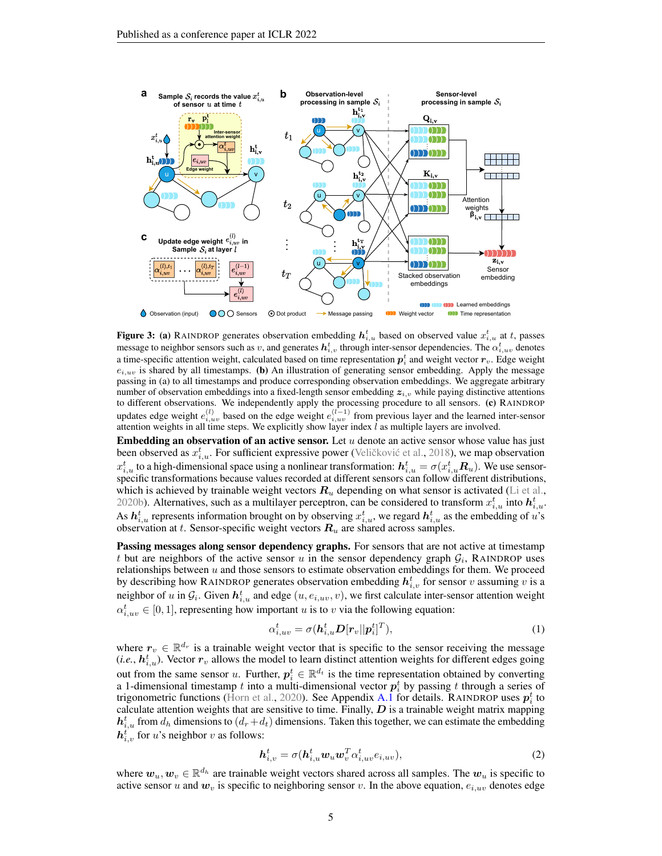<span id="page-4-0"></span>

**Figure 3:** (a) RAINDROP generates observation embedding  $h_{i,u}^t$  based on observed value  $x_{i,u}^t$  at t, passes message to neighbor sensors such as  $v$ , and generates  $\bm{h}^t_{i,v}$  through inter-sensor dependencies. The  $\alpha^t_{i,uv}$  denotes a time-specific attention weight, calculated based on time representation  $p_i^t$  and weight vector  $r_v$ . Edge weight  $e_{i,uv}$  is shared by all timestamps. (b) An illustration of generating sensor embedding. Apply the message passing in (a) to all timestamps and produce corresponding observation embeddings. We aggregate arbitrary number of observation embeddings into a fixed-length sensor embedding  $z_{i,v}$  while paying distinctive attentions to different observations. We independently apply the processing procedure to all sensors. (c) RAINDROP updates edge weight  $e_{i,uv}^{(l)}$  based on the edge weight  $e_{i,uv}^{(l-1)}$  from previous layer and the learned inter-sensor attention weights in all time steps. We explicitly show layer index  $\hat{l}$  as multiple layers are involved.

**Embedding an observation of an active sensor.** Let  $u$  denote an active sensor whose value has just been observed as  $x_{i,u}^t$ . For sufficient expressive power (Veličković et al., [2018\)](#page-12-15), we map observation  $x_{i,u}^t$  to a high-dimensional space using a nonlinear transformation:  $\bm{h}_{i,u}^t = \sigma(x_{i,u}^t \bm{R}_u)$ . We use sensorspecific transformations because values recorded at different sensors can follow different distributions, which is achieved by trainable weight vectors  $R_u$  depending on what sensor is activated [\(Li et al.,](#page-11-14) [2020b\)](#page-11-14). Alternatives, such as a multilayer perceptron, can be considered to transform  $x_{i,u}^t$  into  $h_{i,u}^t$ . As  $h_{i,u}^t$  represents information brought on by observing  $x_{i,u}^t$ , we regard  $h_{i,u}^t$  as the embedding of  $u$ 's observation at t. Sensor-specific weight vectors  $R_u$  are shared across samples.

Passing messages along sensor dependency graphs. For sensors that are not active at timestamp t but are neighbors of the active sensor u in the sensor dependency graph  $G_i$ , RAINDROP uses relationships between  $u$  and those sensors to estimate observation embeddings for them. We proceed by describing how RAINDROP generates observation embedding  $h_{i,v}^{t}$  for sensor v assuming v is a neighbor of u in  $G_i$ . Given  $h_{i,u}^t$  and edge  $(u, e_{i,uv}, v)$ , we first calculate inter-sensor attention weight  $\alpha_{i,uv}^t \in [0,1]$ , representing how important u is to v via the following equation:

<span id="page-4-1"></span>
$$
\alpha_{i,uv}^t = \sigma(\boldsymbol{h}_{i,u}^t \boldsymbol{D}[\boldsymbol{r}_v || \boldsymbol{p}_i^t]^T),
$$
\n(1)

where  $r_v \in \mathbb{R}^{d_r}$  is a trainable weight vector that is specific to the sensor receiving the message (*i.e.*,  $h_{i,u}^t$ ). Vector  $r_v$  allows the model to learn distinct attention weights for different edges going out from the same sensor u. Further,  $p_i^t \in \mathbb{R}^{d_t}$  is the time representation obtained by converting a 1-dimensional timestamp t into a multi-dimensional vector  $p_i^t$  by passing t through a series of trigonometric functions [\(Horn et al.,](#page-10-3) [2020\)](#page-10-3). See Appendix [A.1](#page-14-0) for details. RAINDROP uses  $p_i^t$  to calculate attention weights that are sensitive to time. Finally,  $D$  is a trainable weight matrix mapping  $h_{i,u}^t$  from  $d_h$  dimensions to  $(d_r + d_t)$  dimensions. Taken this together, we can estimate the embedding  $h_{i,v}^t$  for u's neighbor v as follows:

<span id="page-4-2"></span>
$$
\boldsymbol{h}_{i,v}^t = \sigma(\boldsymbol{h}_{i,u}^t \boldsymbol{w}_u \boldsymbol{w}_v^T \alpha_{i,uv}^t e_{i,uv}),
$$
\n(2)

where  $w_u, w_v \in \mathbb{R}^{d_h}$  are trainable weight vectors shared across all samples. The  $w_u$  is specific to active sensor u and  $w_v$  is specific to neighboring sensor v. In the above equation,  $e_{i,uv}$  denotes edge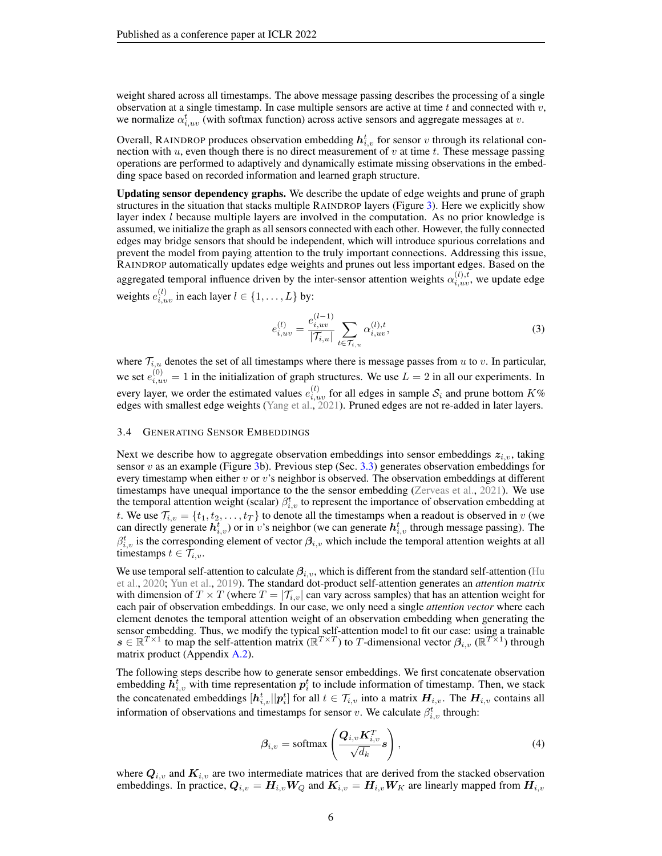weight shared across all timestamps. The above message passing describes the processing of a single observation at a single timestamp. In case multiple sensors are active at time t and connected with  $v$ , we normalize  $\alpha_{i,uv}^{t}$  (with softmax function) across active sensors and aggregate messages at v.

Overall, RAINDROP produces observation embedding  $h_{i,v}^t$  for sensor  $v$  through its relational connection with  $u$ , even though there is no direct measurement of  $v$  at time  $t$ . These message passing operations are performed to adaptively and dynamically estimate missing observations in the embedding space based on recorded information and learned graph structure.

Updating sensor dependency graphs. We describe the update of edge weights and prune of graph structures in the situation that stacks multiple RAINDROP layers (Figure [3\)](#page-4-0). Here we explicitly show layer index l because multiple layers are involved in the computation. As no prior knowledge is assumed, we initialize the graph as all sensors connected with each other. However, the fully connected edges may bridge sensors that should be independent, which will introduce spurious correlations and prevent the model from paying attention to the truly important connections. Addressing this issue, RAINDROP automatically updates edge weights and prunes out less important edges. Based on the aggregated temporal influence driven by the inter-sensor attention weights  $\alpha_{i,uv}^{(l),t}$ , we update edge weights  $e_{i,uv}^{(l)}$  in each layer  $l \in \{1, \ldots, L\}$  by:

<span id="page-5-1"></span>
$$
e_{i,uv}^{(l)} = \frac{e_{i,uv}^{(l-1)}}{|\mathcal{T}_{i,u}|} \sum_{t \in \mathcal{T}_{i,u}} \alpha_{i,uv}^{(l),t},\tag{3}
$$

where  $\mathcal{T}_{i,u}$  denotes the set of all timestamps where there is message passes from u to v. In particular, we set  $e_{i,uv}^{(0)} = 1$  in the initialization of graph structures. We use  $L = 2$  in all our experiments. In every layer, we order the estimated values  $e_{i,uv}^{(l)}$  for all edges in sample  $S_i$  and prune bottom  $K\%$ edges with smallest edge weights [\(Yang et al.,](#page-12-16) [2021\)](#page-12-16). Pruned edges are not re-added in later layers.

### <span id="page-5-0"></span>3.4 GENERATING SENSOR EMBEDDINGS

Next we describe how to aggregate observation embeddings into sensor embeddings  $z_{i,v}$ , taking sensor v as an example (Figure [3b](#page-4-0)). Previous step (Sec. [3.3\)](#page-3-1) generates observation embeddings for every timestamp when either  $v$  or  $v$ 's neighbor is observed. The observation embeddings at different timestamps have unequal importance to the the sensor embedding [\(Zerveas et al.,](#page-13-1) [2021\)](#page-13-1). We use the temporal attention weight (scalar)  $\beta_{i,v}^t$  to represent the importance of observation embedding at t. We use  $\mathcal{T}_{i,v} = \{t_1, t_2, \ldots, t_T\}$  to denote all the timestamps when a readout is observed in v (we can directly generate  $h_{i,v}^t$ ) or in v's neighbor (we can generate  $h_{i,v}^t$  through message passing). The  $\beta_{i,v}^t$  is the corresponding element of vector  $\beta_{i,v}$  which include the temporal attention weights at all timestamps  $t \in \mathcal{T}_{i,v}$ .

We use temporal self-attention to calculate  $\beta_{i,v}$ , which is different from the standard self-attention [\(Hu](#page-10-14) [et al.,](#page-10-14) [2020;](#page-10-14) [Yun et al.,](#page-13-5) [2019\)](#page-13-5). The standard dot-product self-attention generates an *attention matrix* with dimension of  $T \times T$  (where  $T = |\mathcal{T}_{i,y}|$  can vary across samples) that has an attention weight for each pair of observation embeddings. In our case, we only need a single *attention vector* where each element denotes the temporal attention weight of an observation embedding when generating the sensor embedding. Thus, we modify the typical self-attention model to fit our case: using a trainable  $s \in \mathbb{R}^{T\times 1}$  to map the self-attention matrix  $(\mathbb{R}^{T\times T})$  to T-dimensional vector  $\beta_{i,v}$   $(\mathbb{R}^{T\times 1})$  through matrix product (Appendix [A.2\)](#page-14-1).

The following steps describe how to generate sensor embeddings. We first concatenate observation embedding  $\vec{h}_{i,v}^t$  with time representation  $p_i^t$  to include information of timestamp. Then, we stack the concatenated embeddings  $[h_{i,v}^t||p_i^t]$  for all  $t \in \mathcal{T}_{i,v}$  into a matrix  $H_{i,v}$ . The  $H_{i,v}$  contains all information of observations and timestamps for sensor v. We calculate  $\beta_{i,v}^t$  through:

<span id="page-5-2"></span>
$$
\beta_{i,v} = \text{softmax}\left(\frac{\mathbf{Q}_{i,v}\mathbf{K}_{i,v}^T}{\sqrt{d_k}}\mathbf{s}\right),\tag{4}
$$

where  $Q_{i,v}$  and  $K_{i,v}$  are two intermediate matrices that are derived from the stacked observation embeddings. In practice,  $Q_{i,v} = H_{i,v}W_Q$  and  $K_{i,v} = H_{i,v}W_K$  are linearly mapped from  $H_{i,v}$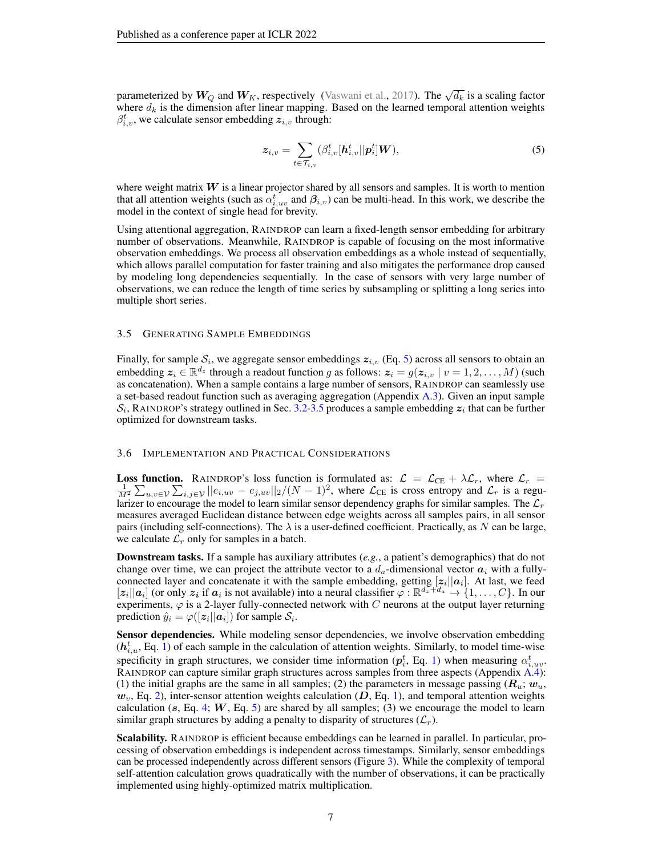parameterized by  $W_Q$  and  $W_K$ , respectively [\(Vaswani et al.,](#page-12-3) [2017\)](#page-12-3). The  $\sqrt{d_k}$  is a scaling factor where  $d_k$  is the dimension after linear mapping. Based on the learned temporal attention weights  $\beta_{i,v}^{t}$ , we calculate sensor embedding  $z_{i,v}$  through:

<span id="page-6-1"></span>
$$
\mathbf{z}_{i,v} = \sum_{t \in \mathcal{T}_{i,v}} (\beta_{i,v}^t [\mathbf{h}_{i,v}^t || \mathbf{p}_i^t] \mathbf{W}), \tag{5}
$$

where weight matrix  $W$  is a linear projector shared by all sensors and samples. It is worth to mention that all attention weights (such as  $\alpha_{i,uv}^t$  and  $\beta_{i,v}$ ) can be multi-head. In this work, we describe the model in the context of single head for brevity.

Using attentional aggregation, RAINDROP can learn a fixed-length sensor embedding for arbitrary number of observations. Meanwhile, RAINDROP is capable of focusing on the most informative observation embeddings. We process all observation embeddings as a whole instead of sequentially, which allows parallel computation for faster training and also mitigates the performance drop caused by modeling long dependencies sequentially. In the case of sensors with very large number of observations, we can reduce the length of time series by subsampling or splitting a long series into multiple short series.

### <span id="page-6-0"></span>3.5 GENERATING SAMPLE EMBEDDINGS

Finally, for sample  $\mathcal{S}_i$ , we aggregate sensor embeddings  $z_{i,v}$  (Eq. [5\)](#page-6-1) across all sensors to obtain an embedding  $z_i \in \mathbb{R}^{d_z}$  through a readout function g as follows:  $z_i = g(z_{i,v} \mid v = 1, 2, ..., M)$  (such as concatenation). When a sample contains a large number of sensors, RAINDROP can seamlessly use a set-based readout function such as averaging aggregation (Appendix [A.3\)](#page-14-2). Given an input sample  $S_i$ , RAINDROP's strategy outlined in Sec. [3.2](#page-3-2)[-3.5](#page-6-0) produces a sample embedding  $z_i$  that can be further optimized for downstream tasks.

#### 3.6 IMPLEMENTATION AND PRACTICAL CONSIDERATIONS

**Loss function.** RAINDROP's loss function is formulated as:  $\mathcal{L} = \mathcal{L}_{CE} + \lambda \mathcal{L}_r$ , where  $\mathcal{L}_r =$  $\frac{1}{M^2}\sum_{u,v\in\mathcal{V}}\sum_{i,j\in\mathcal{V}}||e_{i,uv}-e_{j,uv}||_2/(N-1)^2$ , where  $\mathcal{L}_{CE}$  is cross entropy and  $\mathcal{L}_r$  is a regularizer to encourage the model to learn similar sensor dependency graphs for similar samples. The  $\mathcal{L}_r$ measures averaged Euclidean distance between edge weights across all samples pairs, in all sensor pairs (including self-connections). The  $\lambda$  is a user-defined coefficient. Practically, as N can be large, we calculate  $\mathcal{L}_r$  only for samples in a batch.

Downstream tasks. If a sample has auxiliary attributes (*e.g.*, a patient's demographics) that do not change over time, we can project the attribute vector to a  $d_a$ -dimensional vector  $a_i$  with a fullyconnected layer and concatenate it with the sample embedding, getting  $[z_i||a_i]$ . At last, we feed  $[z_i||a_i]$  (or only  $z_i$  if  $a_i$  is not available) into a neural classifier  $\varphi : \mathbb{R}^{d_z+d_a} \to \{1,\ldots,C\}$ . In our experiments,  $\varphi$  is a 2-layer fully-connected network with C neurons at the output layer returning prediction  $\hat{y}_i = \varphi([\boldsymbol{z}_i || \boldsymbol{a}_i])$  for sample  $\mathcal{S}_i$ .

Sensor dependencies. While modeling sensor dependencies, we involve observation embedding  $(h_{i,u}^t, Eq. 1)$  $(h_{i,u}^t, Eq. 1)$  of each sample in the calculation of attention weights. Similarly, to model time-wise specificity in graph structures, we consider time information  $(p_i^t, Eq. 1)$  $(p_i^t, Eq. 1)$  when measuring  $\alpha_{i,uv}^t$ . RAINDROP can capture similar graph structures across samples from three aspects (Appendix [A.4\)](#page-14-3): (1) the initial graphs are the same in all samples; (2) the parameters in message passing  $(R_u; w_u)$  $w<sub>v</sub>$ , Eq. [2\)](#page-4-2), inter-sensor attention weights calculation (D, Eq. [1\)](#page-4-1), and temporal attention weights calculation (s, Eq. [4;](#page-5-2)  $W$ , Eq. [5\)](#page-6-1) are shared by all samples; (3) we encourage the model to learn similar graph structures by adding a penalty to disparity of structures  $(\mathcal{L}_r)$ .

**Scalability.** RAINDROP is efficient because embeddings can be learned in parallel. In particular, processing of observation embeddings is independent across timestamps. Similarly, sensor embeddings can be processed independently across different sensors (Figure [3\)](#page-4-0). While the complexity of temporal self-attention calculation grows quadratically with the number of observations, it can be practically implemented using highly-optimized matrix multiplication.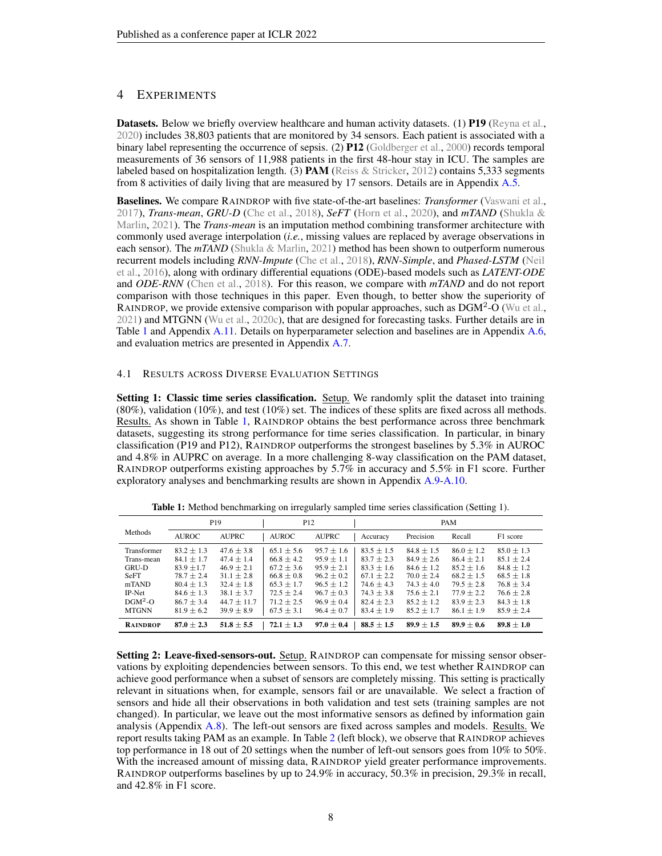# 4 EXPERIMENTS

Datasets. Below we briefly overview healthcare and human activity datasets. (1) P19 [\(Reyna et al.,](#page-11-15) [2020\)](#page-11-15) includes 38,803 patients that are monitored by 34 sensors. Each patient is associated with a binary label representing the occurrence of sepsis. (2) P12 [\(Goldberger et al.,](#page-10-15) [2000\)](#page-10-15) records temporal measurements of 36 sensors of 11,988 patients in the first 48-hour stay in ICU. The samples are labeled based on hospitalization length. (3) **PAM** [\(Reiss & Stricker,](#page-11-16) [2012\)](#page-11-16) contains 5,333 segments from 8 activities of daily living that are measured by 17 sensors. Details are in Appendix [A.5.](#page-15-0)

Baselines. We compare RAINDROP with five state-of-the-art baselines: *Transformer* [\(Vaswani et al.,](#page-12-3) [2017\)](#page-12-3), *Trans-mean*, *GRU-D* [\(Che et al.,](#page-10-6) [2018\)](#page-10-6), *SeFT* [\(Horn et al.,](#page-10-3) [2020\)](#page-10-3), and *mTAND* [\(Shukla &](#page-12-1) [Marlin,](#page-12-1) [2021\)](#page-12-1). The *Trans-mean* is an imputation method combining transformer architecture with commonly used average interpolation (*i.e.*, missing values are replaced by average observations in each sensor). The  $mTAND$  [\(Shukla & Marlin,](#page-12-1) [2021\)](#page-12-1) method has been shown to outperform numerous recurrent models including *RNN-Impute* [\(Che et al.,](#page-10-6) [2018\)](#page-10-6), *RNN-Simple*, and *Phased-LSTM* [\(Neil](#page-11-17) [et al.,](#page-11-17) [2016\)](#page-11-17), along with ordinary differential equations (ODE)-based models such as *LATENT-ODE* and *ODE-RNN* [\(Chen et al.,](#page-10-9) [2018\)](#page-10-9). For this reason, we compare with *mTAND* and do not report comparison with those techniques in this paper. Even though, to better show the superiority of RAINDROP, we provide extensive comparison with popular approaches, such as  $DGM^2$ -O [\(Wu et al.,](#page-12-5) [2021\)](#page-12-5) and MTGNN [\(Wu et al.,](#page-12-14) [2020c\)](#page-12-14), that are designed for forecasting tasks. Further details are in Table [1](#page-7-1) and Appendix [A.11.](#page-17-0) Details on hyperparameter selection and baselines are in Appendix [A.6,](#page-15-1) and evaluation metrics are presented in Appendix [A.7.](#page-16-0)

### <span id="page-7-0"></span>4.1 RESULTS ACROSS DIVERSE EVALUATION SETTINGS

Setting 1: Classic time series classification. Setup. We randomly split the dataset into training (80%), validation (10%), and test (10%) set. The indices of these splits are fixed across all methods. Results. As shown in Table [1,](#page-7-1) RAINDROP obtains the best performance across three benchmark datasets, suggesting its strong performance for time series classification. In particular, in binary classification (P19 and P12), RAINDROP outperforms the strongest baselines by 5.3% in AUROC and 4.8% in AUPRC on average. In a more challenging 8-way classification on the PAM dataset, RAINDROP outperforms existing approaches by 5.7% in accuracy and 5.5% in F1 score. Further exploratory analyses and benchmarking results are shown in Appendix [A.9](#page-16-1)[-A.10.](#page-17-1)

<span id="page-7-1"></span>

|                 | P <sub>19</sub> |                 | P <sub>12</sub> |                | PAM            |                |                |                |  |
|-----------------|-----------------|-----------------|-----------------|----------------|----------------|----------------|----------------|----------------|--|
| <b>Methods</b>  | <b>AUROC</b>    | <b>AUPRC</b>    | <b>AUROC</b>    | <b>AUPRC</b>   | Accuracy       | Precision      | Recall         | F1 score       |  |
| Transformer     | $83.2 \pm 1.3$  | $47.6 \pm 3.8$  | $65.1 \pm 5.6$  | $95.7 \pm 1.6$ | $83.5 \pm 1.5$ | $84.8 \pm 1.5$ | $86.0 \pm 1.2$ | $85.0 \pm 1.3$ |  |
| Trans-mean      | $84.1 \pm 1.7$  | $47.4 \pm 1.4$  | $66.8 \pm 4.2$  | $95.9 \pm 1.1$ | $83.7 \pm 2.3$ | $84.9 \pm 2.6$ | $86.4 \pm 2.1$ | $85.1 \pm 2.4$ |  |
| <b>GRU-D</b>    | $83.9 + 1.7$    | $46.9 + 2.1$    | $67.2 + 3.6$    | $95.9 + 2.1$   | $83.3 + 1.6$   | $84.6 \pm 1.2$ | $85.2 \pm 1.6$ | $84.8 + 1.2$   |  |
| <b>SeFT</b>     | $78.7 \pm 2.4$  | $31.1 \pm 2.8$  | $66.8 \pm 0.8$  | $96.2 \pm 0.2$ | $67.1 \pm 2.2$ | $70.0 \pm 2.4$ | $68.2 \pm 1.5$ | $68.5 \pm 1.8$ |  |
| mTAND           | $80.4 \pm 1.3$  | $32.4 + 1.8$    | $65.3 \pm 1.7$  | $96.5 + 1.2$   | $74.6 \pm 4.3$ | $74.3 \pm 4.0$ | $79.5 \pm 2.8$ | $76.8 \pm 3.4$ |  |
| IP-Net          | $84.6 \pm 1.3$  | $38.1 \pm 3.7$  | $72.5 \pm 2.4$  | $96.7 \pm 0.3$ | $74.3 \pm 3.8$ | $75.6 \pm 2.1$ | $77.9 \pm 2.2$ | $76.6 \pm 2.8$ |  |
| $DGM2-O$        | $86.7 \pm 3.4$  | $44.7 \pm 11.7$ | $71.2 \pm 2.5$  | $96.9 \pm 0.4$ | $82.4 \pm 2.3$ | $85.2 \pm 1.2$ | $83.9 \pm 2.3$ | $84.3 \pm 1.8$ |  |
| <b>MTGNN</b>    | $81.9 \pm 6.2$  | $39.9 \pm 8.9$  | $67.5 \pm 3.1$  | $96.4 \pm 0.7$ | $83.4 \pm 1.9$ | $85.2 \pm 1.7$ | $86.1 \pm 1.9$ | $85.9 \pm 2.4$ |  |
| <b>RAINDROP</b> | $87.0 \pm 2.3$  | $51.8 \pm 5.5$  | $72.1 \pm 1.3$  | $97.0 \pm 0.4$ | $88.5 \pm 1.5$ | $89.9 \pm 1.5$ | $89.9 + 0.6$   | $89.8 \pm 1.0$ |  |

Table 1: Method benchmarking on irregularly sampled time series classification (Setting 1).

Setting 2: Leave-fixed-sensors-out. Setup. RAINDROP can compensate for missing sensor observations by exploiting dependencies between sensors. To this end, we test whether RAINDROP can achieve good performance when a subset of sensors are completely missing. This setting is practically relevant in situations when, for example, sensors fail or are unavailable. We select a fraction of sensors and hide all their observations in both validation and test sets (training samples are not changed). In particular, we leave out the most informative sensors as defined by information gain analysis (Appendix [A.8\)](#page-16-2). The left-out sensors are fixed across samples and models. Results. We report results taking PAM as an example. In Table [2](#page-8-0) (left block), we observe that RAINDROP achieves top performance in 18 out of 20 settings when the number of left-out sensors goes from 10% to 50%. With the increased amount of missing data, RAINDROP yield greater performance improvements. RAINDROP outperforms baselines by up to 24.9% in accuracy, 50.3% in precision, 29.3% in recall, and 42.8% in F1 score.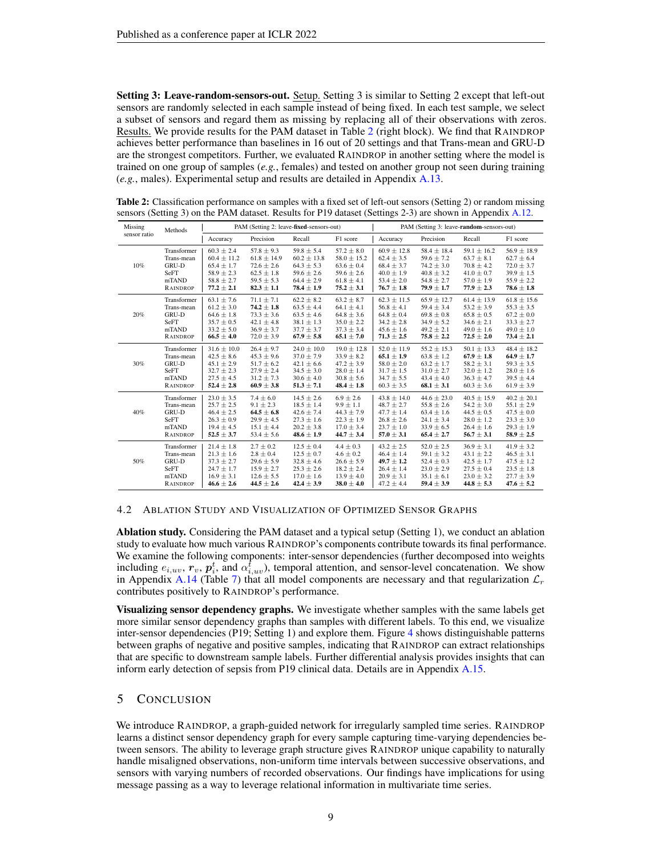Setting 3: Leave-random-sensors-out. Setup. Setting 3 is similar to Setting 2 except that left-out sensors are randomly selected in each sample instead of being fixed. In each test sample, we select a subset of sensors and regard them as missing by replacing all of their observations with zeros. Results. We provide results for the PAM dataset in Table [2](#page-8-0) (right block). We find that RAINDROP achieves better performance than baselines in 16 out of 20 settings and that Trans-mean and GRU-D are the strongest competitors. Further, we evaluated RAINDROP in another setting where the model is trained on one group of samples (*e.g.*, females) and tested on another group not seen during training (*e.g.*, males). Experimental setup and results are detailed in Appendix [A.13.](#page-18-0)

| Missing      | Methods         |                 |                 | PAM (Setting 2: leave-fixed-sensors-out) |                 | PAM (Setting 3: leave-random-sensors-out) |                 |                 |                 |  |
|--------------|-----------------|-----------------|-----------------|------------------------------------------|-----------------|-------------------------------------------|-----------------|-----------------|-----------------|--|
| sensor ratio |                 | Accuracy        | Precision       | Recall                                   | F1 score        | Accuracy                                  | Precision       | Recall          | F1 score        |  |
| 10%          | Transformer     | $60.3 \pm 2.4$  | $57.8 \pm 9.3$  | $59.8 \pm 5.4$                           | $57.2 \pm 8.0$  | $60.9 \pm 12.8$                           | $58.4 \pm 18.4$ | $59.1 \pm 16.2$ | $56.9 \pm 18.9$ |  |
|              | Trans-mean      | $60.4 \pm 11.2$ | $61.8 \pm 14.9$ | $60.2 \pm 13.8$                          | $58.0 \pm 15.2$ | $62.4 \pm 3.5$                            | $59.6 \pm 7.2$  | $63.7 \pm 8.1$  | $62.7 \pm 6.4$  |  |
|              | GRU-D           | $65.4 \pm 1.7$  | $72.6 \pm 2.6$  | $64.3 \pm 5.3$                           | $63.6 \pm 0.4$  | $68.4 \pm 3.7$                            | $74.2 \pm 3.0$  | $70.8 \pm 4.2$  | $72.0 \pm 3.7$  |  |
|              | SeFT            | $58.9 \pm 2.3$  | $62.5 \pm 1.8$  | $59.6 \pm 2.6$                           | $59.6 \pm 2.6$  | $40.0 \pm 1.9$                            | $40.8 \pm 3.2$  | $41.0 \pm 0.7$  | $39.9 \pm 1.5$  |  |
|              | mTAND           | $58.8 \pm 2.7$  | $59.5 \pm 5.3$  | $64.4 \pm 2.9$                           | $61.8 \pm 4.1$  | $53.4 \pm 2.0$                            | $54.8 \pm 2.7$  | $57.0 \pm 1.9$  | $55.9 \pm 2.2$  |  |
|              | <b>RAINDROP</b> | $77.2 \pm 2.1$  | $82.3 \pm 1.1$  | $78.4 \pm 1.9$                           | $75.2 \pm 3.1$  | $76.7 \pm 1.8$                            | $79.9 \pm 1.7$  | $77.9 \pm 2.3$  | $78.6 \pm 1.8$  |  |
| 20%          | Transformer     | $63.1 \pm 7.6$  | $71.1 \pm 7.1$  | $62.2 \pm 8.2$                           | $63.2 \pm 8.7$  | $62.3 \pm 11.5$                           | $65.9 \pm 12.7$ | $61.4 \pm 13.9$ | $61.8 \pm 15.6$ |  |
|              | Trans-mean      | $61.2 \pm 3.0$  | $74.2 \pm 1.8$  | $63.5 \pm 4.4$                           | $64.1 \pm 4.1$  | $56.8 \pm 4.1$                            | $59.4 \pm 3.4$  | $53.2 \pm 3.9$  | $55.3 \pm 3.5$  |  |
|              | GRU-D           | $64.6 \pm 1.8$  | $73.3 \pm 3.6$  | $63.5 \pm 4.6$                           | $64.8 \pm 3.6$  | $64.8 \pm 0.4$                            | $69.8 \pm 0.8$  | $65.8\pm0.5$    | $67.2 \pm 0.0$  |  |
|              | SeFT            | $35.7 \pm 0.5$  | $42.1 \pm 4.8$  | $38.1 \pm 1.3$                           | $35.0 \pm 2.2$  | $34.2 \pm 2.8$                            | $34.9 \pm 5.2$  | $34.6 \pm 2.1$  | $33.3 \pm 2.7$  |  |
|              | mTAND           | $33.2 \pm 5.0$  | $36.9 \pm 3.7$  | $37.7 \pm 3.7$                           | $37.3 \pm 3.4$  | $45.6 \pm 1.6$                            | $49.2 \pm 2.1$  | $49.0 \pm 1.6$  | $49.0 \pm 1.0$  |  |
|              | <b>RAINDROP</b> | $66.5 \pm 4.0$  | $72.0 \pm 3.9$  | $67.9 \pm 5.8$                           | $65.1 \pm 7.0$  | $71.3 \pm 2.5$                            | $75.8 \pm 2.2$  | $72.5 \pm 2.0$  | $73.4 \pm 2.1$  |  |
| 30%          | Transformer     | $31.6 \pm 10.0$ | $26.4 \pm 9.7$  | $24.0 \pm 10.0$                          | $19.0 \pm 12.8$ | $52.0 \pm 11.9$                           | $55.2 \pm 15.3$ | $50.1 \pm 13.3$ | $48.4 \pm 18.2$ |  |
|              | Trans-mean      | $42.5 \pm 8.6$  | $45.3 \pm 9.6$  | $37.0 \pm 7.9$                           | $33.9 \pm 8.2$  | $65.1 \pm 1.9$                            | $63.8 \pm 1.2$  | $67.9 \pm 1.8$  | $64.9 \pm 1.7$  |  |
|              | GRU-D           | $45.1 \pm 2.9$  | $51.7 \pm 6.2$  | $42.1 \pm 6.6$                           | $47.2 \pm 3.9$  | $58.0 \pm 2.0$                            | $63.2 \pm 1.7$  | $58.2 \pm 3.1$  | $59.3 \pm 3.5$  |  |
|              | SeFT            | $32.7 \pm 2.3$  | $27.9 \pm 2.4$  | $34.5 \pm 3.0$                           | $28.0 \pm 1.4$  | $31.7 \pm 1.5$                            | $31.0 \pm 2.7$  | $32.0 \pm 1.2$  | $28.0 \pm 1.6$  |  |
|              | mTAND           | $27.5 \pm 4.5$  | $31.2 \pm 7.3$  | $30.6 \pm 4.0$                           | $30.8 \pm 5.6$  | $34.7 \pm 5.5$                            | $43.4 \pm 4.0$  | $36.3 \pm 4.7$  | $39.5 \pm 4.4$  |  |
|              | <b>RAINDROP</b> | $52.4 \pm 2.8$  | $60.9 \pm 3.8$  | $51.3 \pm 7.1$                           | $48.4 \pm 1.8$  | $60.3 \pm 3.5$                            | $68.1 \pm 3.1$  | $60.3 \pm 3.6$  | $61.9 \pm 3.9$  |  |
| 40%          | Transformer     | $23.0 \pm 3.5$  | $7.4 \pm 6.0$   | $14.5 \pm 2.6$                           | $6.9 \pm 2.6$   | $43.8 \pm 14.0$                           | $44.6 \pm 23.0$ | $40.5 \pm 15.9$ | $40.2 \pm 20.1$ |  |
|              | Trans-mean      | $25.7 \pm 2.5$  | $9.1 \pm 2.3$   | $18.5 \pm 1.4$                           | $9.9 \pm 1.1$   | $48.7 \pm 2.7$                            | $55.8 \pm 2.6$  | $54.2 \pm 3.0$  | $55.1 \pm 2.9$  |  |
|              | GRU-D           | $46.4 \pm 2.5$  | $64.5 \pm 6.8$  | $42.6 \pm 7.4$                           | $44.3 \pm 7.9$  | $47.7 \pm 1.4$                            | $63.4 \pm 1.6$  | $44.5 \pm 0.5$  | $47.5 \pm 0.0$  |  |
|              | SeFT            | $26.3 \pm 0.9$  | $29.9 \pm 4.5$  | $27.3 \pm 1.6$                           | $22.3 \pm 1.9$  | $26.8 \pm 2.6$                            | $24.1 \pm 3.4$  | $28.0 \pm 1.2$  | $23.3 \pm 3.0$  |  |
|              | mTAND           | $19.4 \pm 4.5$  | $15.1 \pm 4.4$  | $20.2 \pm 3.8$                           | $17.0 \pm 3.4$  | $23.7 \pm 1.0$                            | $33.9 \pm 6.5$  | $26.4 \pm 1.6$  | $29.3 \pm 1.9$  |  |
|              | <b>RAINDROP</b> | $52.5 \pm 3.7$  | $53.4 \pm 5.6$  | $48.6 \pm 1.9$                           | $44.7 \pm 3.4$  | $57.0 \pm 3.1$                            | $65.4 \pm 2.7$  | $56.7 \pm 3.1$  | $58.9 \pm 2.5$  |  |
| 50%          | Transformer     | $21.4 \pm 1.8$  | $2.7 \pm 0.2$   | $12.5 \pm 0.4$                           | $4.4 \pm 0.3$   | $43.2 \pm 2.5$                            | $52.0 \pm 2.5$  | $36.9 \pm 3.1$  | $41.9 \pm 3.2$  |  |
|              | Trans-mean      | $21.3\pm1.6$    | $2.8 \pm 0.4$   | $12.5 \pm 0.7$                           | $4.6 \pm 0.2$   | $46.4 \pm 1.4$                            | $59.1 \pm 3.2$  | $43.1 \pm 2.2$  | $46.5 \pm 3.1$  |  |
|              | <b>GRU-D</b>    | $37.3 \pm 2.7$  | $29.6 \pm 5.9$  | $32.8 \pm 4.6$                           | $26.6 \pm 5.9$  | $49.7 \pm 1.2$                            | $52.4 \pm 0.3$  | $42.5 \pm 1.7$  | $47.5 \pm 1.2$  |  |
|              | SeFT            | $24.7 \pm 1.7$  | $15.9 \pm 2.7$  | $25.3 \pm 2.6$                           | $18.2 \pm 2.4$  | $26.4 \pm 1.4$                            | $23.0 \pm 2.9$  | $27.5 \pm 0.4$  | $23.5 \pm 1.8$  |  |
|              | mTAND           | $16.9 \pm 3.1$  | $12.6 \pm 5.5$  | $17.0 \pm 1.6$                           | $13.9 \pm 4.0$  | $20.9 \pm 3.1$                            | $35.1 \pm 6.1$  | $23.0 \pm 3.2$  | $27.7 \pm 3.9$  |  |
|              | <b>RAINDROP</b> | $46.6 \pm 2.6$  | $44.5 \pm 2.6$  | $42.4 \pm 3.9$                           | $38.0 \pm 4.0$  | $47.2 \pm 4.4$                            | $59.4 \pm 3.9$  | $44.8 \pm 5.3$  | $47.6 \pm 5.2$  |  |

<span id="page-8-0"></span>Table 2: Classification performance on samples with a fixed set of left-out sensors (Setting 2) or random missing sensors (Setting 3) on the PAM dataset. Results for P19 dataset (Settings 2-3) are shown in Appendix [A.12.](#page-17-2)

### 4.2 ABLATION STUDY AND VISUALIZATION OF OPTIMIZED SENSOR GRAPHS

Ablation study. Considering the PAM dataset and a typical setup (Setting 1), we conduct an ablation study to evaluate how much various RAINDROP's components contribute towards its final performance. We examine the following components: inter-sensor dependencies (further decomposed into weights including  $e_{i,uv}$ ,  $r_v$ ,  $p_i^t$ , and  $\alpha_{i,uv}^t$ ), temporal attention, and sensor-level concatenation. We show in Appendix [A.14](#page-19-0) (Table [7\)](#page-18-1) that all model components are necessary and that regularization  $\mathcal{L}_r$ contributes positively to RAINDROP's performance.

Visualizing sensor dependency graphs. We investigate whether samples with the same labels get more similar sensor dependency graphs than samples with different labels. To this end, we visualize inter-sensor dependencies (P19; Setting 1) and explore them. Figure [4](#page-19-1) shows distinguishable patterns between graphs of negative and positive samples, indicating that RAINDROP can extract relationships that are specific to downstream sample labels. Further differential analysis provides insights that can inform early detection of sepsis from P19 clinical data. Details are in Appendix [A.15.](#page-19-2)

# 5 CONCLUSION

We introduce RAINDROP, a graph-guided network for irregularly sampled time series. RAINDROP learns a distinct sensor dependency graph for every sample capturing time-varying dependencies between sensors. The ability to leverage graph structure gives RAINDROP unique capability to naturally handle misaligned observations, non-uniform time intervals between successive observations, and sensors with varying numbers of recorded observations. Our findings have implications for using message passing as a way to leverage relational information in multivariate time series.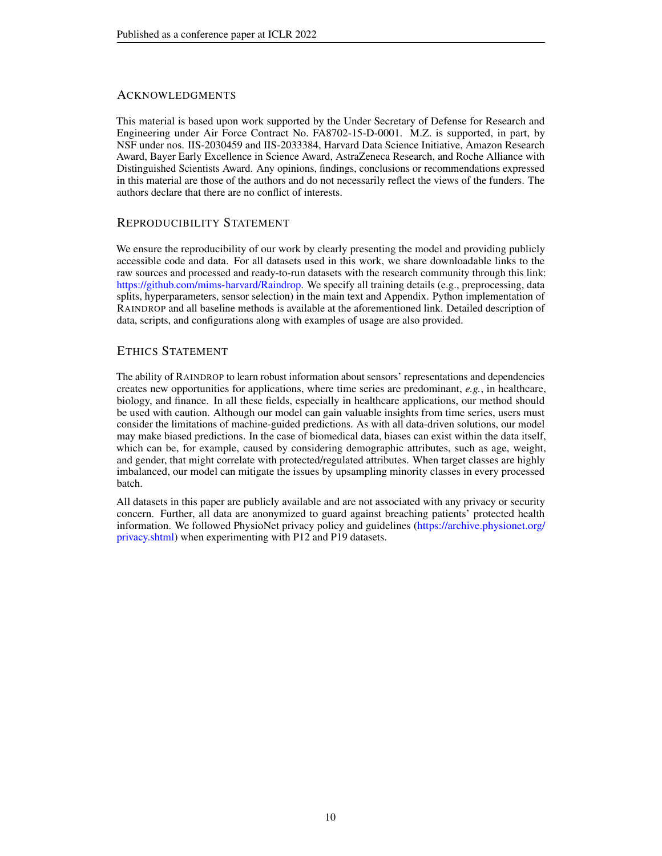# **ACKNOWLEDGMENTS**

This material is based upon work supported by the Under Secretary of Defense for Research and Engineering under Air Force Contract No. FA8702-15-D-0001. M.Z. is supported, in part, by NSF under nos. IIS-2030459 and IIS-2033384, Harvard Data Science Initiative, Amazon Research Award, Bayer Early Excellence in Science Award, AstraZeneca Research, and Roche Alliance with Distinguished Scientists Award. Any opinions, findings, conclusions or recommendations expressed in this material are those of the authors and do not necessarily reflect the views of the funders. The authors declare that there are no conflict of interests.

# REPRODUCIBILITY STATEMENT

We ensure the reproducibility of our work by clearly presenting the model and providing publicly accessible code and data. For all datasets used in this work, we share downloadable links to the raw sources and processed and ready-to-run datasets with the research community through this link: [https://github.com/mims-harvard/Raindrop.](https://github.com/mims-harvard/Raindrop) We specify all training details (e.g., preprocessing, data splits, hyperparameters, sensor selection) in the main text and Appendix. Python implementation of RAINDROP and all baseline methods is available at the aforementioned link. Detailed description of data, scripts, and configurations along with examples of usage are also provided.

# ETHICS STATEMENT

The ability of RAINDROP to learn robust information about sensors' representations and dependencies creates new opportunities for applications, where time series are predominant, *e.g.*, in healthcare, biology, and finance. In all these fields, especially in healthcare applications, our method should be used with caution. Although our model can gain valuable insights from time series, users must consider the limitations of machine-guided predictions. As with all data-driven solutions, our model may make biased predictions. In the case of biomedical data, biases can exist within the data itself, which can be, for example, caused by considering demographic attributes, such as age, weight, and gender, that might correlate with protected/regulated attributes. When target classes are highly imbalanced, our model can mitigate the issues by upsampling minority classes in every processed batch.

All datasets in this paper are publicly available and are not associated with any privacy or security concern. Further, all data are anonymized to guard against breaching patients' protected health information. We followed PhysioNet privacy policy and guidelines [\(https://archive.physionet.org/](https://archive.physionet.org/privacy.shtml) [privacy.shtml\)](https://archive.physionet.org/privacy.shtml) when experimenting with P12 and P19 datasets.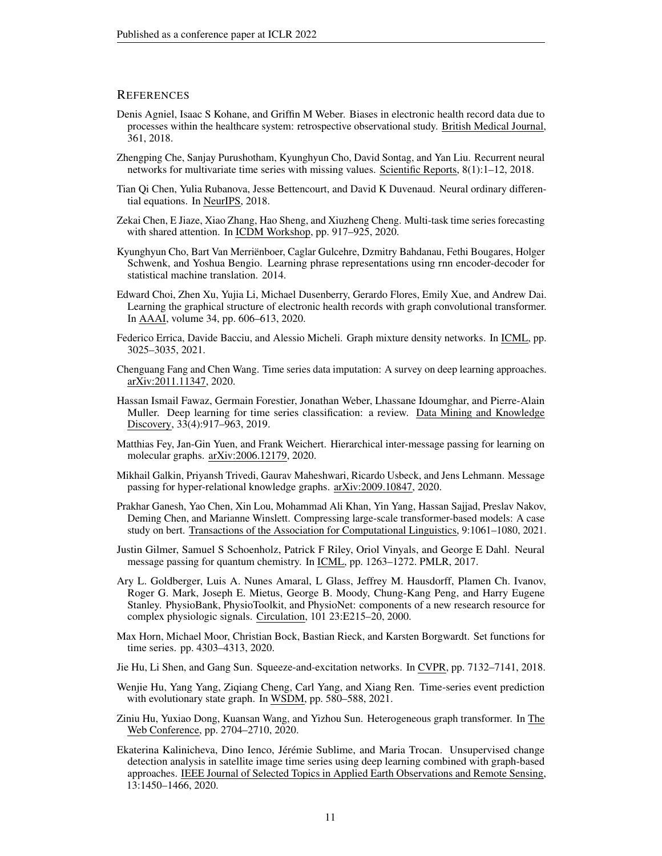### **REFERENCES**

- <span id="page-10-4"></span>Denis Agniel, Isaac S Kohane, and Griffin M Weber. Biases in electronic health record data due to processes within the healthcare system: retrospective observational study. British Medical Journal, 361, 2018.
- <span id="page-10-6"></span>Zhengping Che, Sanjay Purushotham, Kyunghyun Cho, David Sontag, and Yan Liu. Recurrent neural networks for multivariate time series with missing values. Scientific Reports, 8(1):1–12, 2018.
- <span id="page-10-9"></span>Tian Qi Chen, Yulia Rubanova, Jesse Bettencourt, and David K Duvenaud. Neural ordinary differential equations. In NeurIPS, 2018.
- <span id="page-10-7"></span>Zekai Chen, E Jiaze, Xiao Zhang, Hao Sheng, and Xiuzheng Cheng. Multi-task time series forecasting with shared attention. In ICDM Workshop, pp. 917–925, 2020.
- <span id="page-10-5"></span>Kyunghyun Cho, Bart Van Merriënboer, Caglar Gulcehre, Dzmitry Bahdanau, Fethi Bougares, Holger Schwenk, and Yoshua Bengio. Learning phrase representations using rnn encoder-decoder for statistical machine translation. 2014.
- <span id="page-10-1"></span>Edward Choi, Zhen Xu, Yujia Li, Michael Dusenberry, Gerardo Flores, Emily Xue, and Andrew Dai. Learning the graphical structure of electronic health records with graph convolutional transformer. In AAAI, volume 34, pp. 606–613, 2020.
- <span id="page-10-16"></span>Federico Errica, Davide Bacciu, and Alessio Micheli. Graph mixture density networks. In ICML, pp. 3025–3035, 2021.
- <span id="page-10-8"></span>Chenguang Fang and Chen Wang. Time series data imputation: A survey on deep learning approaches. arXiv:2011.11347, 2020.
- <span id="page-10-0"></span>Hassan Ismail Fawaz, Germain Forestier, Jonathan Weber, Lhassane Idoumghar, and Pierre-Alain Muller. Deep learning for time series classification: a review. Data Mining and Knowledge Discovery, 33(4):917–963, 2019.
- <span id="page-10-12"></span>Matthias Fey, Jan-Gin Yuen, and Frank Weichert. Hierarchical inter-message passing for learning on molecular graphs. arXiv:2006.12179, 2020.
- <span id="page-10-11"></span>Mikhail Galkin, Priyansh Trivedi, Gaurav Maheshwari, Ricardo Usbeck, and Jens Lehmann. Message passing for hyper-relational knowledge graphs. arXiv:2009.10847, 2020.
- <span id="page-10-18"></span>Prakhar Ganesh, Yao Chen, Xin Lou, Mohammad Ali Khan, Yin Yang, Hassan Sajjad, Preslav Nakov, Deming Chen, and Marianne Winslett. Compressing large-scale transformer-based models: A case study on bert. Transactions of the Association for Computational Linguistics, 9:1061–1080, 2021.
- <span id="page-10-10"></span>Justin Gilmer, Samuel S Schoenholz, Patrick F Riley, Oriol Vinyals, and George E Dahl. Neural message passing for quantum chemistry. In ICML, pp. 1263–1272. PMLR, 2017.
- <span id="page-10-15"></span>Ary L. Goldberger, Luis A. Nunes Amaral, L Glass, Jeffrey M. Hausdorff, Plamen Ch. Ivanov, Roger G. Mark, Joseph E. Mietus, George B. Moody, Chung-Kang Peng, and Harry Eugene Stanley. PhysioBank, PhysioToolkit, and PhysioNet: components of a new research resource for complex physiologic signals. Circulation, 101 23:E215–20, 2000.
- <span id="page-10-3"></span>Max Horn, Michael Moor, Christian Bock, Bastian Rieck, and Karsten Borgwardt. Set functions for time series. pp. 4303–4313, 2020.
- <span id="page-10-17"></span>Jie Hu, Li Shen, and Gang Sun. Squeeze-and-excitation networks. In CVPR, pp. 7132–7141, 2018.
- <span id="page-10-2"></span>Wenjie Hu, Yang Yang, Ziqiang Cheng, Carl Yang, and Xiang Ren. Time-series event prediction with evolutionary state graph. In WSDM, pp. 580–588, 2021.
- <span id="page-10-14"></span>Ziniu Hu, Yuxiao Dong, Kuansan Wang, and Yizhou Sun. Heterogeneous graph transformer. In The Web Conference, pp. 2704–2710, 2020.
- <span id="page-10-13"></span>Ekaterina Kalinicheva, Dino Ienco, Jérémie Sublime, and Maria Trocan. Unsupervised change detection analysis in satellite image time series using deep learning combined with graph-based approaches. IEEE Journal of Selected Topics in Applied Earth Observations and Remote Sensing, 13:1450–1466, 2020.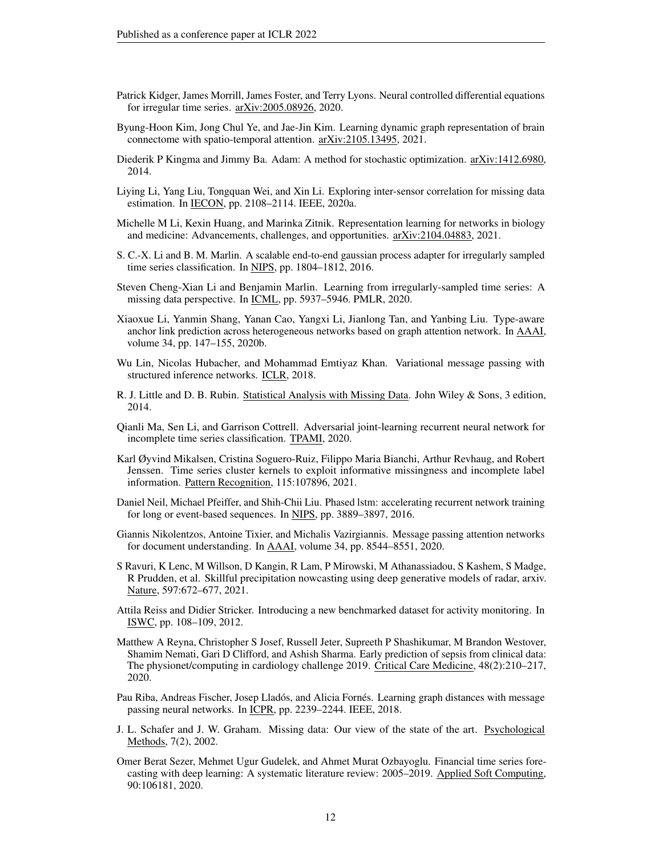- <span id="page-11-6"></span>Patrick Kidger, James Morrill, James Foster, and Terry Lyons. Neural controlled differential equations for irregular time series. arXiv:2005.08926, 2020.
- <span id="page-11-19"></span>Byung-Hoon Kim, Jong Chul Ye, and Jae-Jin Kim. Learning dynamic graph representation of brain connectome with spatio-temporal attention. arXiv:2105.13495, 2021.
- <span id="page-11-18"></span>Diederik P Kingma and Jimmy Ba. Adam: A method for stochastic optimization. arXiv:1412.6980, 2014.
- <span id="page-11-5"></span>Liying Li, Yang Liu, Tongquan Wei, and Xin Li. Exploring inter-sensor correlation for missing data estimation. In IECON, pp. 2108–2114. IEEE, 2020a.
- <span id="page-11-10"></span>Michelle M Li, Kexin Huang, and Marinka Zitnik. Representation learning for networks in biology and medicine: Advancements, challenges, and opportunities. arXiv:2104.04883, 2021.
- <span id="page-11-4"></span>S. C.-X. Li and B. M. Marlin. A scalable end-to-end gaussian process adapter for irregularly sampled time series classification. In NIPS, pp. 1804–1812, 2016.
- <span id="page-11-9"></span>Steven Cheng-Xian Li and Benjamin Marlin. Learning from irregularly-sampled time series: A missing data perspective. In ICML, pp. 5937–5946. PMLR, 2020.
- <span id="page-11-14"></span>Xiaoxue Li, Yanmin Shang, Yanan Cao, Yangxi Li, Jianlong Tan, and Yanbing Liu. Type-aware anchor link prediction across heterogeneous networks based on graph attention network. In AAAI, volume 34, pp. 147–155, 2020b.
- <span id="page-11-13"></span>Wu Lin, Nicolas Hubacher, and Mohammad Emtiyaz Khan. Variational message passing with structured inference networks. ICLR, 2018.
- <span id="page-11-3"></span>R. J. Little and D. B. Rubin. Statistical Analysis with Missing Data. John Wiley & Sons, 3 edition, 2014.
- <span id="page-11-7"></span>Qianli Ma, Sen Li, and Garrison Cottrell. Adversarial joint-learning recurrent neural network for incomplete time series classification. TPAMI, 2020.
- <span id="page-11-8"></span>Karl Øyvind Mikalsen, Cristina Soguero-Ruiz, Filippo Maria Bianchi, Arthur Revhaug, and Robert Jenssen. Time series cluster kernels to exploit informative missingness and incomplete label information. Pattern Recognition, 115:107896, 2021.
- <span id="page-11-17"></span>Daniel Neil, Michael Pfeiffer, and Shih-Chii Liu. Phased lstm: accelerating recurrent network training for long or event-based sequences. In NIPS, pp. 3889–3897, 2016.
- <span id="page-11-12"></span>Giannis Nikolentzos, Antoine Tixier, and Michalis Vazirgiannis. Message passing attention networks for document understanding. In AAAI, volume 34, pp. 8544–8551, 2020.
- <span id="page-11-0"></span>S Ravuri, K Lenc, M Willson, D Kangin, R Lam, P Mirowski, M Athanassiadou, S Kashem, S Madge, R Prudden, et al. Skillful precipitation nowcasting using deep generative models of radar, arxiv. Nature, 597:672–677, 2021.
- <span id="page-11-16"></span>Attila Reiss and Didier Stricker. Introducing a new benchmarked dataset for activity monitoring. In ISWC, pp. 108–109, 2012.
- <span id="page-11-15"></span>Matthew A Reyna, Christopher S Josef, Russell Jeter, Supreeth P Shashikumar, M Brandon Westover, Shamim Nemati, Gari D Clifford, and Ashish Sharma. Early prediction of sepsis from clinical data: The physionet/computing in cardiology challenge 2019. Critical Care Medicine, 48(2):210–217, 2020.
- <span id="page-11-11"></span>Pau Riba, Andreas Fischer, Josep Lladós, and Alicia Fornés. Learning graph distances with message passing neural networks. In ICPR, pp. 2239–2244. IEEE, 2018.
- <span id="page-11-2"></span>J. L. Schafer and J. W. Graham. Missing data: Our view of the state of the art. Psychological Methods, 7(2), 2002.
- <span id="page-11-1"></span>Omer Berat Sezer, Mehmet Ugur Gudelek, and Ahmet Murat Ozbayoglu. Financial time series forecasting with deep learning: A systematic literature review: 2005–2019. Applied Soft Computing, 90:106181, 2020.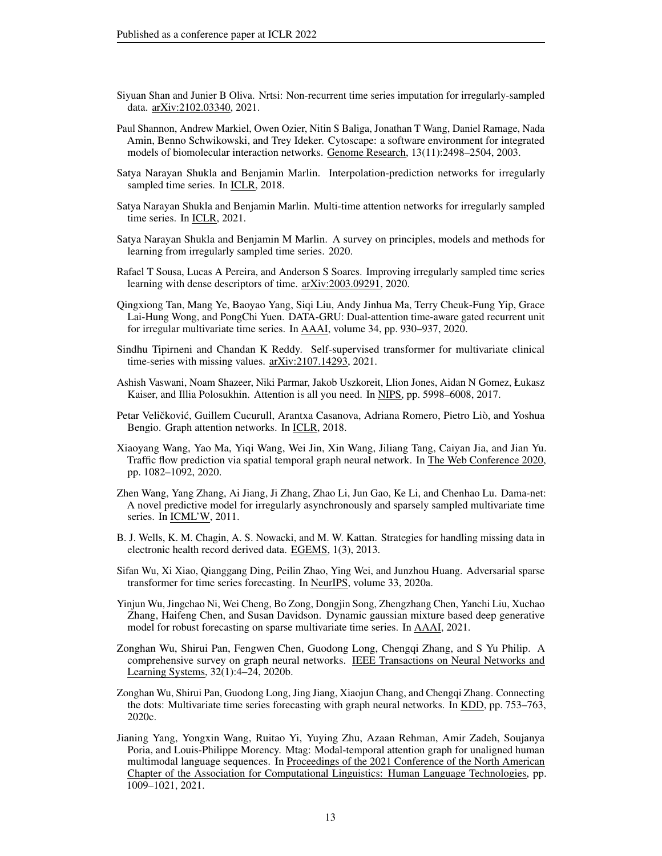- <span id="page-12-11"></span>Siyuan Shan and Junier B Oliva. Nrtsi: Non-recurrent time series imputation for irregularly-sampled data. arXiv:2102.03340, 2021.
- <span id="page-12-17"></span>Paul Shannon, Andrew Markiel, Owen Ozier, Nitin S Baliga, Jonathan T Wang, Daniel Ramage, Nada Amin, Benno Schwikowski, and Trey Ideker. Cytoscape: a software environment for integrated models of biomolecular interaction networks. Genome Research, 13(11):2498–2504, 2003.
- <span id="page-12-6"></span>Satya Narayan Shukla and Benjamin Marlin. Interpolation-prediction networks for irregularly sampled time series. In ICLR, 2018.
- <span id="page-12-1"></span>Satya Narayan Shukla and Benjamin Marlin. Multi-time attention networks for irregularly sampled time series. In ICLR, 2021.
- <span id="page-12-10"></span>Satya Narayan Shukla and Benjamin M Marlin. A survey on principles, models and methods for learning from irregularly sampled time series. 2020.
- <span id="page-12-0"></span>Rafael T Sousa, Lucas A Pereira, and Anderson S Soares. Improving irregularly sampled time series learning with dense descriptors of time. arXiv:2003.09291, 2020.
- <span id="page-12-8"></span>Qingxiong Tan, Mang Ye, Baoyao Yang, Siqi Liu, Andy Jinhua Ma, Terry Cheuk-Fung Yip, Grace Lai-Hung Wong, and PongChi Yuen. DATA-GRU: Dual-attention time-aware gated recurrent unit for irregular multivariate time series. In AAAI, volume 34, pp. 930–937, 2020.
- <span id="page-12-7"></span>Sindhu Tipirneni and Chandan K Reddy. Self-supervised transformer for multivariate clinical time-series with missing values. arXiv:2107.14293, 2021.
- <span id="page-12-3"></span>Ashish Vaswani, Noam Shazeer, Niki Parmar, Jakob Uszkoreit, Llion Jones, Aidan N Gomez, Łukasz Kaiser, and Illia Polosukhin. Attention is all you need. In NIPS, pp. 5998–6008, 2017.
- <span id="page-12-15"></span>Petar Veličković, Guillem Cucurull, Arantxa Casanova, Adriana Romero, Pietro Liò, and Yoshua Bengio. Graph attention networks. In ICLR, 2018.
- <span id="page-12-13"></span>Xiaoyang Wang, Yao Ma, Yiqi Wang, Wei Jin, Xin Wang, Jiliang Tang, Caiyan Jia, and Jian Yu. Traffic flow prediction via spatial temporal graph neural network. In The Web Conference 2020, pp. 1082–1092, 2020.
- <span id="page-12-2"></span>Zhen Wang, Yang Zhang, Ai Jiang, Ji Zhang, Zhao Li, Jun Gao, Ke Li, and Chenhao Lu. Dama-net: A novel predictive model for irregularly asynchronously and sparsely sampled multivariate time series. In ICML'W, 2011.
- <span id="page-12-4"></span>B. J. Wells, K. M. Chagin, A. S. Nowacki, and M. W. Kattan. Strategies for handling missing data in electronic health record derived data. EGEMS, 1(3), 2013.
- <span id="page-12-9"></span>Sifan Wu, Xi Xiao, Qianggang Ding, Peilin Zhao, Ying Wei, and Junzhou Huang. Adversarial sparse transformer for time series forecasting. In NeurIPS, volume 33, 2020a.
- <span id="page-12-5"></span>Yinjun Wu, Jingchao Ni, Wei Cheng, Bo Zong, Dongjin Song, Zhengzhang Chen, Yanchi Liu, Xuchao Zhang, Haifeng Chen, and Susan Davidson. Dynamic gaussian mixture based deep generative model for robust forecasting on sparse multivariate time series. In AAAI, 2021.
- <span id="page-12-12"></span>Zonghan Wu, Shirui Pan, Fengwen Chen, Guodong Long, Chengqi Zhang, and S Yu Philip. A comprehensive survey on graph neural networks. IEEE Transactions on Neural Networks and Learning Systems, 32(1):4–24, 2020b.
- <span id="page-12-14"></span>Zonghan Wu, Shirui Pan, Guodong Long, Jing Jiang, Xiaojun Chang, and Chengqi Zhang. Connecting the dots: Multivariate time series forecasting with graph neural networks. In KDD, pp. 753–763, 2020c.
- <span id="page-12-16"></span>Jianing Yang, Yongxin Wang, Ruitao Yi, Yuying Zhu, Azaan Rehman, Amir Zadeh, Soujanya Poria, and Louis-Philippe Morency. Mtag: Modal-temporal attention graph for unaligned human multimodal language sequences. In Proceedings of the 2021 Conference of the North American Chapter of the Association for Computational Linguistics: Human Language Technologies, pp. 1009–1021, 2021.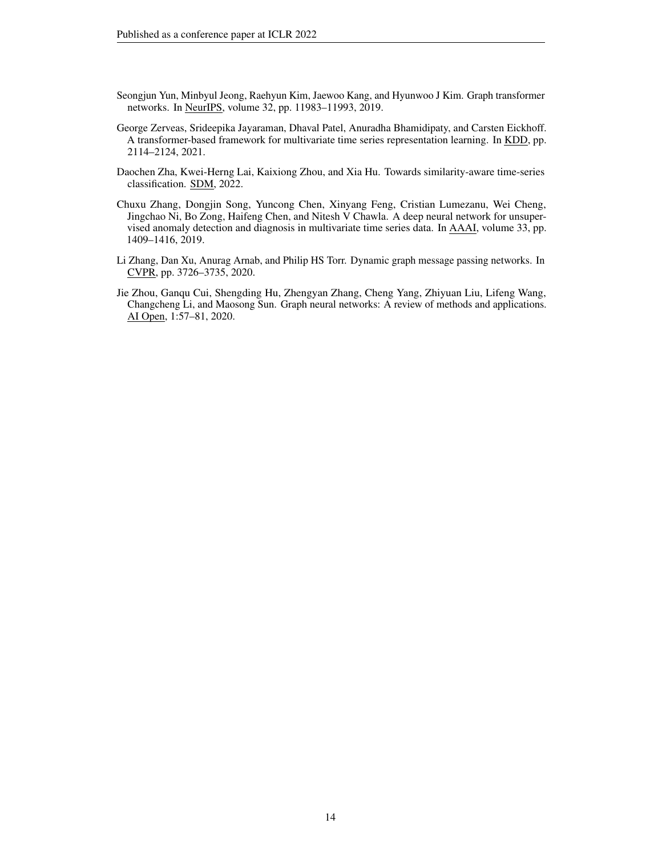- <span id="page-13-5"></span>Seongjun Yun, Minbyul Jeong, Raehyun Kim, Jaewoo Kang, and Hyunwoo J Kim. Graph transformer networks. In NeurIPS, volume 32, pp. 11983–11993, 2019.
- <span id="page-13-1"></span>George Zerveas, Srideepika Jayaraman, Dhaval Patel, Anuradha Bhamidipaty, and Carsten Eickhoff. A transformer-based framework for multivariate time series representation learning. In KDD, pp. 2114–2124, 2021.
- <span id="page-13-4"></span>Daochen Zha, Kwei-Herng Lai, Kaixiong Zhou, and Xia Hu. Towards similarity-aware time-series classification. SDM, 2022.
- <span id="page-13-0"></span>Chuxu Zhang, Dongjin Song, Yuncong Chen, Xinyang Feng, Cristian Lumezanu, Wei Cheng, Jingchao Ni, Bo Zong, Haifeng Chen, and Nitesh V Chawla. A deep neural network for unsupervised anomaly detection and diagnosis in multivariate time series data. In AAAI, volume 33, pp. 1409–1416, 2019.
- <span id="page-13-3"></span>Li Zhang, Dan Xu, Anurag Arnab, and Philip HS Torr. Dynamic graph message passing networks. In CVPR, pp. 3726–3735, 2020.
- <span id="page-13-2"></span>Jie Zhou, Ganqu Cui, Shengding Hu, Zhengyan Zhang, Cheng Yang, Zhiyuan Liu, Lifeng Wang, Changcheng Li, and Maosong Sun. Graph neural networks: A review of methods and applications. AI Open, 1:57–81, 2020.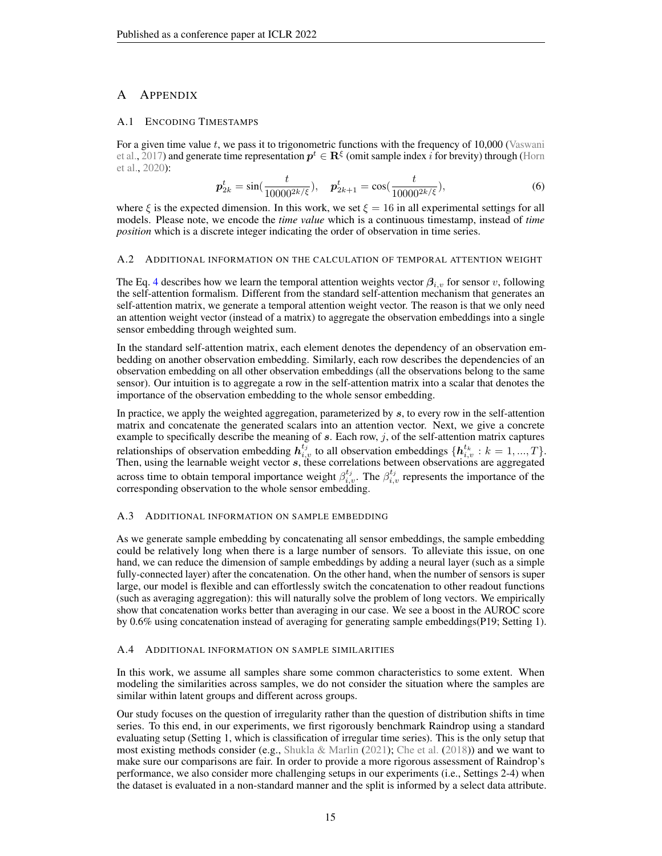# A APPENDIX

# <span id="page-14-0"></span>A.1 ENCODING TIMESTAMPS

For a given time value  $t$ , we pass it to trigonometric functions with the frequency of  $10,000$  [\(Vaswani](#page-12-3) [et al.,](#page-12-3) [2017\)](#page-12-3) and generate time representation  $p^t \in \mathbb{R}^{\xi}$  (omit sample index i for brevity) through [\(Horn](#page-10-3) [et al.,](#page-10-3) [2020\)](#page-10-3):

$$
\boldsymbol{p}_{2k}^t = \sin(\frac{t}{10000^{2k/\xi}}), \quad \boldsymbol{p}_{2k+1}^t = \cos(\frac{t}{10000^{2k/\xi}}), \tag{6}
$$

where  $\xi$  is the expected dimension. In this work, we set  $\xi = 16$  in all experimental settings for all models. Please note, we encode the *time value* which is a continuous timestamp, instead of *time position* which is a discrete integer indicating the order of observation in time series.

### <span id="page-14-1"></span>A.2 ADDITIONAL INFORMATION ON THE CALCULATION OF TEMPORAL ATTENTION WEIGHT

The Eq. [4](#page-5-2) describes how we learn the temporal attention weights vector  $\beta_{i,v}$  for sensor v, following the self-attention formalism. Different from the standard self-attention mechanism that generates an self-attention matrix, we generate a temporal attention weight vector. The reason is that we only need an attention weight vector (instead of a matrix) to aggregate the observation embeddings into a single sensor embedding through weighted sum.

In the standard self-attention matrix, each element denotes the dependency of an observation embedding on another observation embedding. Similarly, each row describes the dependencies of an observation embedding on all other observation embeddings (all the observations belong to the same sensor). Our intuition is to aggregate a row in the self-attention matrix into a scalar that denotes the importance of the observation embedding to the whole sensor embedding.

In practice, we apply the weighted aggregation, parameterized by s, to every row in the self-attention matrix and concatenate the generated scalars into an attention vector. Next, we give a concrete example to specifically describe the meaning of  $s$ . Each row,  $j$ , of the self-attention matrix captures relationships of observation embedding  $h_{i,v}^{t_j}$  to all observation embeddings  $\{h_{i,v}^{t_k}: k = 1, ..., T\}$ . Then, using the learnable weight vector  $s$ , these correlations between observations are aggregated across time to obtain temporal importance weight  $\beta_{i,v}^{t_j}$ . The  $\beta_{i,v}^{t_j}$  represents the importance of the corresponding observation to the whole sensor embedding.

### <span id="page-14-2"></span>A.3 ADDITIONAL INFORMATION ON SAMPLE EMBEDDING

As we generate sample embedding by concatenating all sensor embeddings, the sample embedding could be relatively long when there is a large number of sensors. To alleviate this issue, on one hand, we can reduce the dimension of sample embeddings by adding a neural layer (such as a simple fully-connected layer) after the concatenation. On the other hand, when the number of sensors is super large, our model is flexible and can effortlessly switch the concatenation to other readout functions (such as averaging aggregation): this will naturally solve the problem of long vectors. We empirically show that concatenation works better than averaging in our case. We see a boost in the AUROC score by 0.6% using concatenation instead of averaging for generating sample embeddings(P19; Setting 1).

### <span id="page-14-3"></span>A.4 ADDITIONAL INFORMATION ON SAMPLE SIMILARITIES

In this work, we assume all samples share some common characteristics to some extent. When modeling the similarities across samples, we do not consider the situation where the samples are similar within latent groups and different across groups.

Our study focuses on the question of irregularity rather than the question of distribution shifts in time series. To this end, in our experiments, we first rigorously benchmark Raindrop using a standard evaluating setup (Setting 1, which is classification of irregular time series). This is the only setup that most existing methods consider (e.g., [Shukla & Marlin](#page-12-1) [\(2021\)](#page-12-1); [Che et al.](#page-10-6) [\(2018\)](#page-10-6)) and we want to make sure our comparisons are fair. In order to provide a more rigorous assessment of Raindrop's performance, we also consider more challenging setups in our experiments (i.e., Settings 2-4) when the dataset is evaluated in a non-standard manner and the split is informed by a select data attribute.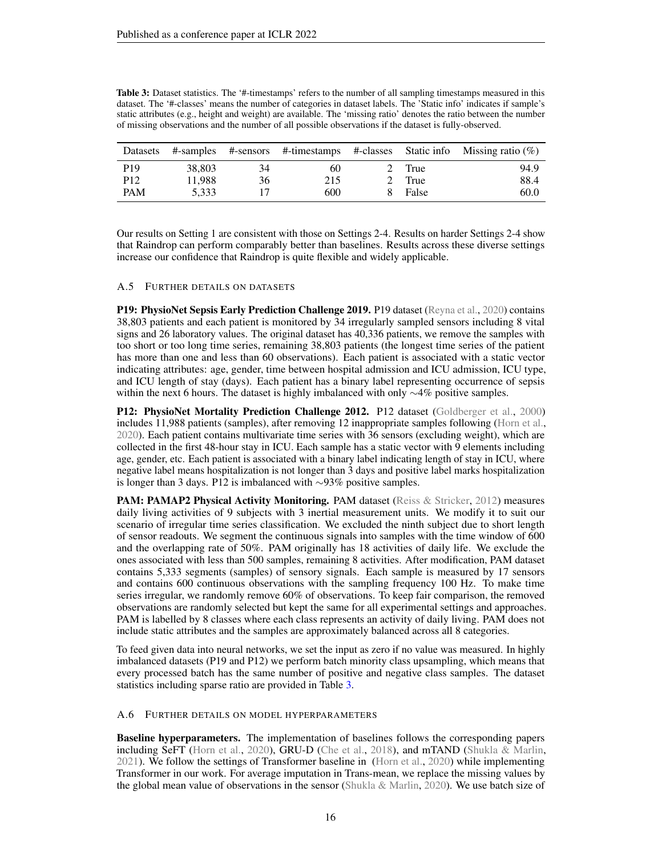<span id="page-15-2"></span>

| <b>Table 3:</b> Dataset statistics. The '#-timestamps' refers to the number of all sampling timestamps measured in this |
|-------------------------------------------------------------------------------------------------------------------------|
| dataset. The '#-classes' means the number of categories in dataset labels. The 'Static info' indicates if sample's      |
| static attributes (e.g., height and weight) are available. The 'missing ratio' denotes the ratio between the number     |
| of missing observations and the number of all possible observations if the dataset is fully-observed.                   |

| Datasets        |        |    |     |        | #-samples #-sensors #-timestamps #-classes Static info Missing ratio $(\%)$ |
|-----------------|--------|----|-----|--------|-----------------------------------------------------------------------------|
| P <sub>19</sub> | 38,803 | 34 | 60  | 2 True | 94.9                                                                        |
| P <sub>12</sub> | 11.988 | 36 | 215 | 2 True | 88.4                                                                        |
| <b>PAM</b>      | 5.333  |    | 600 | False  | 60.0                                                                        |

Our results on Setting 1 are consistent with those on Settings 2-4. Results on harder Settings 2-4 show that Raindrop can perform comparably better than baselines. Results across these diverse settings increase our confidence that Raindrop is quite flexible and widely applicable.

### <span id="page-15-0"></span>A.5 FURTHER DETAILS ON DATASETS

P19: PhysioNet Sepsis Early Prediction Challenge 2019. P19 dataset [\(Reyna et al.,](#page-11-15) [2020\)](#page-11-15) contains 38,803 patients and each patient is monitored by 34 irregularly sampled sensors including 8 vital signs and 26 laboratory values. The original dataset has 40,336 patients, we remove the samples with too short or too long time series, remaining 38,803 patients (the longest time series of the patient has more than one and less than 60 observations). Each patient is associated with a static vector indicating attributes: age, gender, time between hospital admission and ICU admission, ICU type, and ICU length of stay (days). Each patient has a binary label representing occurrence of sepsis within the next 6 hours. The dataset is highly imbalanced with only ∼4% positive samples.

P12: PhysioNet Mortality Prediction Challenge 2012. P12 dataset [\(Goldberger et al.,](#page-10-15) [2000\)](#page-10-15) includes 11,988 patients (samples), after removing 12 inappropriate samples following [\(Horn et al.,](#page-10-3) [2020\)](#page-10-3). Each patient contains multivariate time series with 36 sensors (excluding weight), which are collected in the first 48-hour stay in ICU. Each sample has a static vector with 9 elements including age, gender, etc. Each patient is associated with a binary label indicating length of stay in ICU, where negative label means hospitalization is not longer than 3 days and positive label marks hospitalization is longer than 3 days. P12 is imbalanced with ∼93% positive samples.

PAM: PAMAP2 Physical Activity Monitoring. PAM dataset [\(Reiss & Stricker,](#page-11-16) [2012\)](#page-11-16) measures daily living activities of 9 subjects with 3 inertial measurement units. We modify it to suit our scenario of irregular time series classification. We excluded the ninth subject due to short length of sensor readouts. We segment the continuous signals into samples with the time window of 600 and the overlapping rate of 50%. PAM originally has 18 activities of daily life. We exclude the ones associated with less than 500 samples, remaining 8 activities. After modification, PAM dataset contains 5,333 segments (samples) of sensory signals. Each sample is measured by 17 sensors and contains 600 continuous observations with the sampling frequency 100 Hz. To make time series irregular, we randomly remove 60% of observations. To keep fair comparison, the removed observations are randomly selected but kept the same for all experimental settings and approaches. PAM is labelled by 8 classes where each class represents an activity of daily living. PAM does not include static attributes and the samples are approximately balanced across all 8 categories.

To feed given data into neural networks, we set the input as zero if no value was measured. In highly imbalanced datasets (P19 and P12) we perform batch minority class upsampling, which means that every processed batch has the same number of positive and negative class samples. The dataset statistics including sparse ratio are provided in Table [3.](#page-15-2)

#### <span id="page-15-1"></span>A.6 FURTHER DETAILS ON MODEL HYPERPARAMETERS

Baseline hyperparameters. The implementation of baselines follows the corresponding papers including SeFT [\(Horn et al.,](#page-10-3) [2020\)](#page-10-3), GRU-D [\(Che et al.,](#page-10-6) [2018\)](#page-10-6), and mTAND [\(Shukla & Marlin,](#page-12-1) [2021\)](#page-12-1). We follow the settings of Transformer baseline in [\(Horn et al.,](#page-10-3) [2020\)](#page-10-3) while implementing Transformer in our work. For average imputation in Trans-mean, we replace the missing values by the global mean value of observations in the sensor [\(Shukla & Marlin,](#page-12-10) [2020\)](#page-12-10). We use batch size of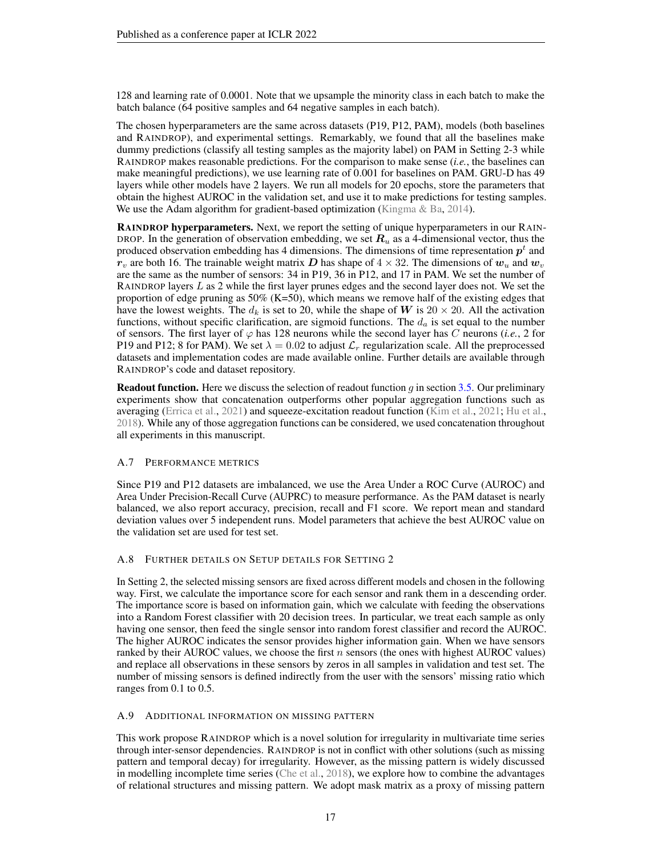128 and learning rate of 0.0001. Note that we upsample the minority class in each batch to make the batch balance (64 positive samples and 64 negative samples in each batch).

The chosen hyperparameters are the same across datasets (P19, P12, PAM), models (both baselines and RAINDROP), and experimental settings. Remarkably, we found that all the baselines make dummy predictions (classify all testing samples as the majority label) on PAM in Setting 2-3 while RAINDROP makes reasonable predictions. For the comparison to make sense (*i.e.*, the baselines can make meaningful predictions), we use learning rate of 0.001 for baselines on PAM. GRU-D has 49 layers while other models have 2 layers. We run all models for 20 epochs, store the parameters that obtain the highest AUROC in the validation set, and use it to make predictions for testing samples. We use the Adam algorithm for gradient-based optimization [\(Kingma & Ba,](#page-11-18) [2014\)](#page-11-18).

RAINDROP hyperparameters. Next, we report the setting of unique hyperparameters in our RAIN-DROP. In the generation of observation embedding, we set  $R_u$  as a 4-dimensional vector, thus the produced observation embedding has 4 dimensions. The dimensions of time representation  $p<sup>t</sup>$  and  $r_v$  are both 16. The trainable weight matrix D has shape of  $4 \times 32$ . The dimensions of  $w_u$  and  $w_v$ are the same as the number of sensors: 34 in P19, 36 in P12, and 17 in PAM. We set the number of RAINDROP layers L as 2 while the first layer prunes edges and the second layer does not. We set the proportion of edge pruning as  $50\%$  (K=50), which means we remove half of the existing edges that have the lowest weights. The  $d_k$  is set to 20, while the shape of W is  $20 \times 20$ . All the activation functions, without specific clarification, are sigmoid functions. The  $d_a$  is set equal to the number of sensors. The first layer of  $\varphi$  has 128 neurons while the second layer has C neurons (*i.e.*, 2 for P19 and P12; 8 for PAM). We set  $\lambda = 0.02$  to adjust  $\mathcal{L}_r$  regularization scale. All the preprocessed datasets and implementation codes are made available online. Further details are available through RAINDROP's code and dataset repository.

**Readout function.** Here we discuss the selection of readout function g in section [3.5.](#page-6-0) Our preliminary experiments show that concatenation outperforms other popular aggregation functions such as averaging [\(Errica et al.,](#page-10-16) [2021\)](#page-10-16) and squeeze-excitation readout function [\(Kim et al.,](#page-11-19) [2021;](#page-11-19) [Hu et al.,](#page-10-17) [2018\)](#page-10-17). While any of those aggregation functions can be considered, we used concatenation throughout all experiments in this manuscript.

### <span id="page-16-0"></span>A.7 PERFORMANCE METRICS

Since P19 and P12 datasets are imbalanced, we use the Area Under a ROC Curve (AUROC) and Area Under Precision-Recall Curve (AUPRC) to measure performance. As the PAM dataset is nearly balanced, we also report accuracy, precision, recall and F1 score. We report mean and standard deviation values over 5 independent runs. Model parameters that achieve the best AUROC value on the validation set are used for test set.

# <span id="page-16-2"></span>A.8 FURTHER DETAILS ON SETUP DETAILS FOR SETTING 2

In Setting 2, the selected missing sensors are fixed across different models and chosen in the following way. First, we calculate the importance score for each sensor and rank them in a descending order. The importance score is based on information gain, which we calculate with feeding the observations into a Random Forest classifier with 20 decision trees. In particular, we treat each sample as only having one sensor, then feed the single sensor into random forest classifier and record the AUROC. The higher AUROC indicates the sensor provides higher information gain. When we have sensors ranked by their AUROC values, we choose the first  $n$  sensors (the ones with highest AUROC values) and replace all observations in these sensors by zeros in all samples in validation and test set. The number of missing sensors is defined indirectly from the user with the sensors' missing ratio which ranges from 0.1 to 0.5.

### <span id="page-16-1"></span>A.9 ADDITIONAL INFORMATION ON MISSING PATTERN

This work propose RAINDROP which is a novel solution for irregularity in multivariate time series through inter-sensor dependencies. RAINDROP is not in conflict with other solutions (such as missing pattern and temporal decay) for irregularity. However, as the missing pattern is widely discussed in modelling incomplete time series [\(Che et al.,](#page-10-6) [2018\)](#page-10-6), we explore how to combine the advantages of relational structures and missing pattern. We adopt mask matrix as a proxy of missing pattern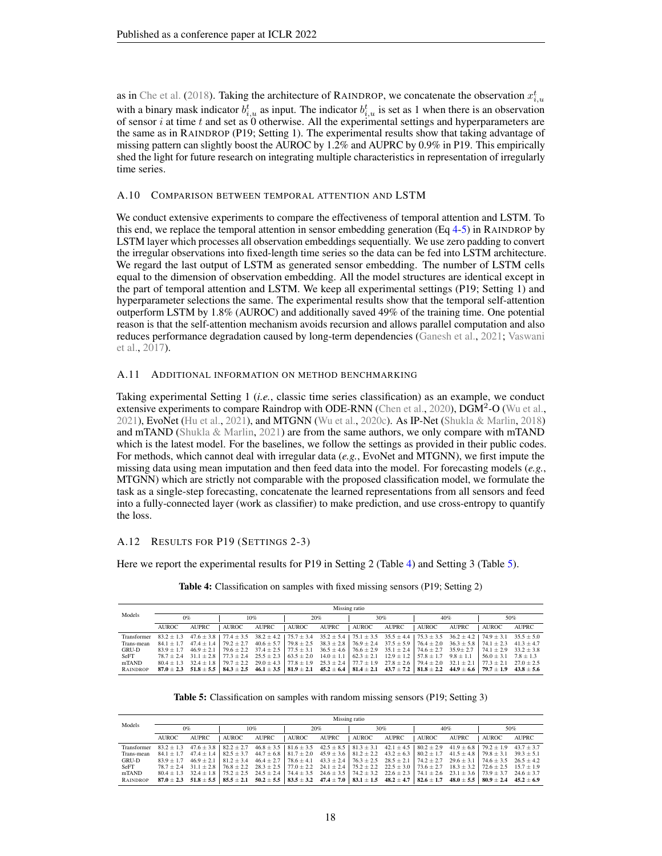as in [Che et al.](#page-10-6) [\(2018\)](#page-10-6). Taking the architecture of RAINDROP, we concatenate the observation  $x_{i,u}^t$ with a binary mask indicator  $b_{i,u}^t$  as input. The indicator  $b_{i,u}^t$  is set as 1 when there is an observation of sensor i at time t and set as  $\ddot{0}$  otherwise. All the experimental settings and hyperparameters are the same as in RAINDROP (P19; Setting 1). The experimental results show that taking advantage of missing pattern can slightly boost the AUROC by 1.2% and AUPRC by 0.9% in P19. This empirically shed the light for future research on integrating multiple characteristics in representation of irregularly time series.

### <span id="page-17-1"></span>A.10 COMPARISON BETWEEN TEMPORAL ATTENTION AND LSTM

We conduct extensive experiments to compare the effectiveness of temporal attention and LSTM. To this end, we replace the temporal attention in sensor embedding generation (Eq  $4-5$  $4-5$ ) in RAINDROP by LSTM layer which processes all observation embeddings sequentially. We use zero padding to convert the irregular observations into fixed-length time series so the data can be fed into LSTM architecture. We regard the last output of LSTM as generated sensor embedding. The number of LSTM cells equal to the dimension of observation embedding. All the model structures are identical except in the part of temporal attention and LSTM. We keep all experimental settings (P19; Setting 1) and hyperparameter selections the same. The experimental results show that the temporal self-attention outperform LSTM by 1.8% (AUROC) and additionally saved 49% of the training time. One potential reason is that the self-attention mechanism avoids recursion and allows parallel computation and also reduces performance degradation caused by long-term dependencies [\(Ganesh et al.,](#page-10-18) [2021;](#page-10-18) [Vaswani](#page-12-3) [et al.,](#page-12-3) [2017\)](#page-12-3).

# <span id="page-17-0"></span>A.11 ADDITIONAL INFORMATION ON METHOD BENCHMARKING

Taking experimental Setting 1 (*i.e.*, classic time series classification) as an example, we conduct extensive experiments to compare Raindrop with ODE-RNN [\(Chen et al.,](#page-10-7) [2020\)](#page-10-7),  $\overline{DGM}^2$ -O [\(Wu et al.,](#page-12-5) [2021\)](#page-12-5), EvoNet [\(Hu et al.,](#page-10-2) [2021\)](#page-10-2), and MTGNN [\(Wu et al.,](#page-12-14) [2020c\)](#page-12-14). As IP-Net [\(Shukla & Marlin,](#page-12-6) [2018\)](#page-12-6) and mTAND [\(Shukla & Marlin,](#page-12-1) [2021\)](#page-12-1) are from the same authors, we only compare with mTAND which is the latest model. For the baselines, we follow the settings as provided in their public codes. For methods, which cannot deal with irregular data (*e.g.*, EvoNet and MTGNN), we first impute the missing data using mean imputation and then feed data into the model. For forecasting models (*e.g.*, MTGNN) which are strictly not comparable with the proposed classification model, we formulate the task as a single-step forecasting, concatenate the learned representations from all sensors and feed into a fully-connected layer (work as classifier) to make prediction, and use cross-entropy to quantify the loss.

# <span id="page-17-2"></span>A.12 RESULTS FOR P19 (SETTINGS 2-3)

<span id="page-17-3"></span>Here we report the experimental results for P19 in Setting 2 (Table [4\)](#page-17-3) and Setting 3 (Table [5\)](#page-17-4).

|                 |              | Missing ratio |                                                                                                                                                                                                                                            |        |        |        |        |        |                                                                                                                                                |        |                              |        |  |  |
|-----------------|--------------|---------------|--------------------------------------------------------------------------------------------------------------------------------------------------------------------------------------------------------------------------------------------|--------|--------|--------|--------|--------|------------------------------------------------------------------------------------------------------------------------------------------------|--------|------------------------------|--------|--|--|
| Models          | 10%<br>$0\%$ |               | 20%                                                                                                                                                                                                                                        |        | 30%    |        | 40%    |        | 50%                                                                                                                                            |        |                              |        |  |  |
|                 | <b>AUROC</b> | AUPRC.        | AUROC.                                                                                                                                                                                                                                     | AUPRC. | AUROC. | AUPRC. | AUROC. | AUPRC. | AUROC.                                                                                                                                         | AUPRC. | AUROC.                       | AUPRC. |  |  |
| Transformer     | $83.2 + 1.3$ |               | $47.6 \pm 3.8$   $77.4 \pm 3.5$ $38.2 \pm 4.2$   $75.7 \pm 3.4$ $35.2 \pm 5.4$   $75.1 \pm 3.5$ $35.5 \pm 4.4$   $75.3 \pm 3.5$ $36.2 \pm 4.2$   $74.9 \pm 3.1$ $35.5 \pm 5.0$                                                             |        |        |        |        |        |                                                                                                                                                |        |                              |        |  |  |
| Trans-mean      | $84.1 + 1.7$ |               | $47.4 + 1.4$   $79.2 + 2.7$                                                                                                                                                                                                                |        |        |        |        |        | $40.6 \pm 5.7$   $79.8 \pm 2.5$ $38.3 \pm 2.8$   $76.9 \pm 2.4$ $37.5 \pm 5.9$   $76.4 \pm 2.0$ $36.3 \pm 5.8$   $74.1 \pm 2.3$ $41.3 \pm 4.7$ |        |                              |        |  |  |
| GRU-D           | $83.9 + 1.7$ |               | $46.9 \pm 2.1$ $\mid$ $79.6 \pm 2.2$ $\mid$ $37.4 \pm 2.5$ $\mid$ $77.5 \pm 3.1$ $\mid$ $36.5 \pm 4.6$ $\mid$ $76.6 \pm 2.9$ $\mid$ $35.1 \pm 2.4$ $\mid$ $74.6 \pm 2.7$ $\mid$ $35.9 \pm 2.7$ $\mid$ $74.1 \pm 2.9$ $\mid$ $33.2 \pm 3.8$ |        |        |        |        |        |                                                                                                                                                |        |                              |        |  |  |
| SeFT            | $78.7 + 2.4$ |               | $31.1 \pm 2.8$   $77.3 \pm 2.4$ $25.5 \pm 2.3$   $63.5 \pm 2.0$ $14.0 \pm 1.1$   $62.3 \pm 2.1$ $12.9 \pm 1.2$   $57.8 \pm 1.7$ $9.8 \pm 1.1$                                                                                              |        |        |        |        |        |                                                                                                                                                |        | $56.0 \pm 3.1$ $7.8 \pm 1.3$ |        |  |  |
| mTAND           | $80.4 + 1.3$ |               | $32.4 \pm 1.8$ $79.7 \pm 2.2$ $29.0 \pm 4.3$ $77.8 \pm 1.9$ $25.3 \pm 2.4$ $77.7 \pm 1.9$ $27.8 \pm 2.6$ $79.4 \pm 2.0$ $32.1 \pm 2.1$ $77.3 \pm 2.1$ $27.0 \pm 2.5$                                                                       |        |        |        |        |        |                                                                                                                                                |        |                              |        |  |  |
| <b>RAINDROP</b> |              |               | $87.0 \pm 2.3$ $51.8 \pm 5.5$ $84.3 \pm 2.5$ $46.1 \pm 3.5$ $81.9 \pm 2.1$ $45.2 \pm 6.4$ $81.4 \pm 2.1$ $43.7 \pm 7.2$ $81.8 \pm 2.2$ $44.9 \pm 6.6$ $79.7 \pm 1.9$ $43.8 \pm 5.6$                                                        |        |        |        |        |        |                                                                                                                                                |        |                              |        |  |  |

Table 4: Classification on samples with fixed missing sensors (P19; Setting 2)

Table 5: Classification on samples with random missing sensors (P19; Setting 3)

<span id="page-17-4"></span>

|                 |              | Missing ratio |                                                                                                                                                                                     |        |              |        |        |        |        |        |        |              |  |  |
|-----------------|--------------|---------------|-------------------------------------------------------------------------------------------------------------------------------------------------------------------------------------|--------|--------------|--------|--------|--------|--------|--------|--------|--------------|--|--|
| Models          | 0%<br>10%    |               | 20%                                                                                                                                                                                 |        | 30%          |        | 40%    |        | 50%    |        |        |              |  |  |
|                 | <b>AUROC</b> | <b>AUPRC</b>  | AUROC.                                                                                                                                                                              | AUPRC. | <b>AUROC</b> | AUPRC. | AUROC. | AUPRC. | AUROC. | AUPRC. | AUROC. | <b>AUPRC</b> |  |  |
| Transformer     | $83.2 + 1.3$ |               | $47.6 \pm 3.8$   $82.2 \pm 2.7$ $46.8 \pm 3.5$   $81.6 \pm 3.5$ $42.5 \pm 8.5$   $81.3 \pm 3.1$ $42.1 \pm 4.5$   $80.2 \pm 2.9$ $41.9 \pm 6.8$   $79.2 \pm 1.9$ $43.7 \pm 3.7$      |        |              |        |        |        |        |        |        |              |  |  |
| Trans-mean      | $84.1 + 1.7$ |               | $47.4 \pm 1.4$ $82.5 \pm 3.7$ $44.7 \pm 6.8$ $81.7 \pm 2.0$ $45.9 \pm 3.6$ $81.2 \pm 2.2$ $43.2 \pm 6.3$ $80.2 \pm 1.7$ $41.5 \pm 4.8$ $79.8 \pm 3.1$ $39.3 \pm 5.1$                |        |              |        |        |        |        |        |        |              |  |  |
| GRU-D           | $83.9 + 1.7$ |               | $46.9 \pm 2.1$ $81.2 \pm 3.4$ $46.4 \pm 2.7$ $78.6 \pm 4.1$ $43.3 \pm 2.4$ $76.3 \pm 2.5$ $28.5 \pm 2.1$ $74.2 \pm 2.7$ $29.6 \pm 3.1$ $74.6 \pm 3.5$ $26.5 \pm 4.2$                |        |              |        |        |        |        |        |        |              |  |  |
| SeFT            | $78.7 + 2.4$ |               | $31.1 \pm 2.8$   $76.8 \pm 2.2$ $28.3 \pm 2.5$   $77.0 \pm 2.2$ $24.1 \pm 2.4$   $75.2 \pm 2.2$ $22.5 \pm 3.0$   $73.6 \pm 2.7$ $18.3 \pm 3.2$   $72.6 \pm 2.5$ $15.7 \pm 1.9$      |        |              |        |        |        |        |        |        |              |  |  |
| mTAND           |              |               | $80.4 \pm 1.3$ $32.4 \pm 1.8$ $75.2 \pm 2.5$ $24.5 \pm 2.4$ $74.4 \pm 3.5$ $24.6 \pm 3.5$ $74.2 \pm 3.2$ $22.6 \pm 2.3$ $74.1 \pm 2.6$ $23.1 \pm 3.6$ $73.9 \pm 3.7$ $24.6 \pm 3.7$ |        |              |        |        |        |        |        |        |              |  |  |
| <b>RAINDROP</b> |              |               | $87.0 \pm 2.3$ $51.8 \pm 5.5$ $85.5 \pm 2.1$ $50.2 \pm 5.5$ $83.5 \pm 3.2$ $47.4 \pm 7.0$ $83.1 \pm 1.5$ $48.2 \pm 4.7$ $82.6 \pm 1.7$ $48.0 \pm 5.5$ $80.9 \pm 2.4$ $45.2 \pm 6.9$ |        |              |        |        |        |        |        |        |              |  |  |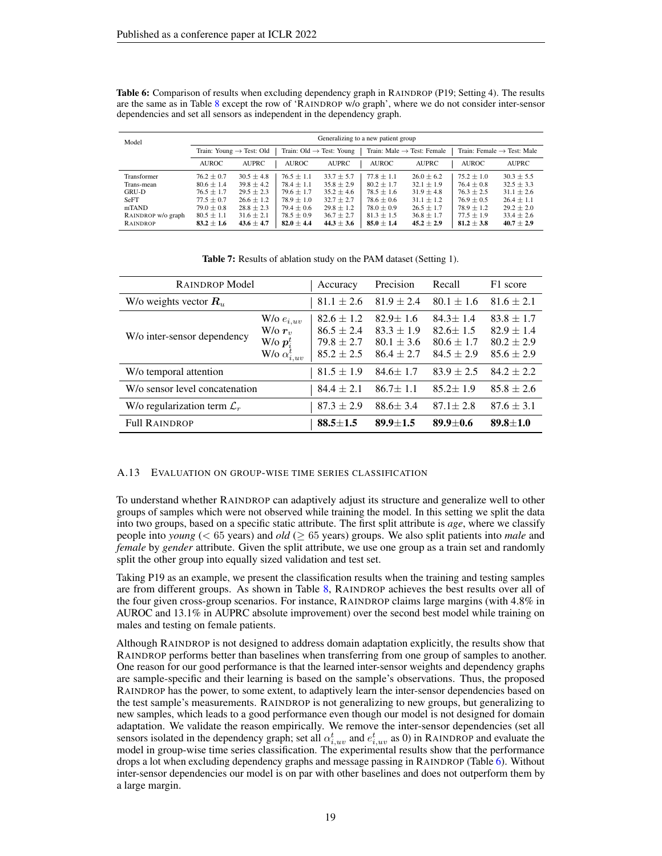| Model              | Generalizing to a new patient group |                                      |                                      |                |                                                                                  |                |                |                |  |  |  |
|--------------------|-------------------------------------|--------------------------------------|--------------------------------------|----------------|----------------------------------------------------------------------------------|----------------|----------------|----------------|--|--|--|
|                    |                                     | Train: Young $\rightarrow$ Test: Old | Train: $Old \rightarrow Test: Young$ |                | Train: Female $\rightarrow$ Test: Male<br>Train: Male $\rightarrow$ Test: Female |                |                |                |  |  |  |
|                    | <b>AUROC</b>                        | <b>AUPRC</b>                         | <b>AUROC</b>                         | <b>AUPRC</b>   | <b>AUROC</b>                                                                     | <b>AUPRC</b>   | <b>AUROC</b>   | <b>AUPRC</b>   |  |  |  |
| Transformer        | $76.2 \pm 0.7$                      | $30.5 \pm 4.8$                       | $76.5 \pm 1.1$                       | $33.7 \pm 5.7$ | $77.8 \pm 1.1$                                                                   | $26.0 \pm 6.2$ | $75.2 \pm 1.0$ | $30.3 \pm 5.5$ |  |  |  |
| Trans-mean         | $80.6 \pm 1.4$                      | $39.8 \pm 4.2$                       | $78.4 \pm 1.1$                       | $35.8 \pm 2.9$ | $80.2 \pm 1.7$                                                                   | $32.1 \pm 1.9$ | $76.4 \pm 0.8$ | $32.5 \pm 3.3$ |  |  |  |
| GRU-D              | $76.5 \pm 1.7$                      | $29.5 \pm 2.3$                       | $79.6 \pm 1.7$                       | $35.2 \pm 4.6$ | $78.5 \pm 1.6$                                                                   | $31.9 \pm 4.8$ | $76.3 \pm 2.5$ | $31.1 \pm 2.6$ |  |  |  |
| <b>SeFT</b>        | $77.5 \pm 0.7$                      | $26.6 \pm 1.2$                       | $78.9 \pm 1.0$                       | $32.7 \pm 2.7$ | $78.6 \pm 0.6$                                                                   | $31.1 \pm 1.2$ | $76.9 \pm 0.5$ | $26.4 \pm 1.1$ |  |  |  |
| mTAND              | $79.0 \pm 0.8$                      | $28.8 \pm 2.3$                       | $79.4 \pm 0.6$                       | $29.8 \pm 1.2$ | $78.0 \pm 0.9$                                                                   | $26.5 \pm 1.7$ | $78.9 \pm 1.2$ | $29.2 \pm 2.0$ |  |  |  |
| RAINDROP w/o graph | $80.5 \pm 1.1$                      | $31.6 \pm 2.1$                       | $78.5 \pm 0.9$                       | $36.7 \pm 2.7$ | $81.3 \pm 1.5$                                                                   | $36.8 \pm 1.7$ | $77.5 \pm 1.9$ | $33.4 \pm 2.6$ |  |  |  |
| RAINDROP           | $83.2 \pm 1.6$                      | $43.6 \pm 4.7$                       | $82.0 \pm 4.4$                       | $44.3 \pm 3.6$ | $85.0 \pm 1.4$                                                                   | $45.2 \pm 2.9$ | $81.2 \pm 3.8$ | $40.7 \pm 2.9$ |  |  |  |

<span id="page-18-2"></span>Table 6: Comparison of results when excluding dependency graph in RAINDROP (P19; Setting 4). The results are the same as in Table [8](#page-19-3) except the row of 'RAINDROP w/o graph', where we do not consider inter-sensor dependencies and set all sensors as independent in the dependency graph.

<span id="page-18-1"></span>

| <b>RAINDROP Model</b>                   | Accuracy                                                                   | Precision                                                          | Recall                                                               | F1 score                                                             |                                                                      |
|-----------------------------------------|----------------------------------------------------------------------------|--------------------------------------------------------------------|----------------------------------------------------------------------|----------------------------------------------------------------------|----------------------------------------------------------------------|
| W/o weights vector $R_u$                | $81.1 \pm 2.6$                                                             | $81.9 \pm 2.4$                                                     | $80.1 \pm 1.6$                                                       | $81.6 \pm 2.1$                                                       |                                                                      |
| W/o inter-sensor dependency             | W/o $e_{i,uv}$<br>$W/\sigma r_{v}$<br>W/o $p_i^t$<br>W/o $\alpha_{i,uv}^t$ | $82.6 \pm 1.2$<br>$86.5 + 2.4$<br>$79.8 \pm 2.7$<br>$85.2 \pm 2.5$ | $82.9 \pm 1.6$<br>$83.3 \pm 1.9$<br>$80.1 \pm 3.6$<br>$86.4 \pm 2.7$ | $84.3 \pm 1.4$<br>$82.6 \pm 1.5$<br>$80.6 \pm 1.7$<br>$84.5 \pm 2.9$ | $83.8 \pm 1.7$<br>$82.9 \pm 1.4$<br>$80.2 \pm 2.9$<br>$85.6 \pm 2.9$ |
| W/o temporal attention                  |                                                                            | $81.5 \pm 1.9$                                                     | $84.6 \pm 1.7$                                                       | $83.9 \pm 2.5$                                                       | $84.2 + 2.2$                                                         |
| W/o sensor level concatenation          | $84.4 \pm 2.1$                                                             | $86.7 \pm 1.1$                                                     | $85.2 \pm 1.9$                                                       | $85.8 \pm 2.6$                                                       |                                                                      |
| W/o regularization term $\mathcal{L}_r$ | $87.3 \pm 2.9$                                                             | $88.6 \pm 3.4$                                                     | $87.1 \pm 2.8$                                                       | $87.6 \pm 3.1$                                                       |                                                                      |
| <b>Full RAINDROP</b>                    | $88.5 + 1.5$                                                               | $89.9 + 1.5$                                                       | $89.9 + 0.6$                                                         | $89.8 \pm 1.0$                                                       |                                                                      |

Table 7: Results of ablation study on the PAM dataset (Setting 1).

### <span id="page-18-0"></span>A.13 EVALUATION ON GROUP-WISE TIME SERIES CLASSIFICATION

To understand whether RAINDROP can adaptively adjust its structure and generalize well to other groups of samples which were not observed while training the model. In this setting we split the data into two groups, based on a specific static attribute. The first split attribute is *age*, where we classify people into *young* (< 65 years) and *old* (≥ 65 years) groups. We also split patients into *male* and *female* by *gender* attribute. Given the split attribute, we use one group as a train set and randomly split the other group into equally sized validation and test set.

Taking P19 as an example, we present the classification results when the training and testing samples are from different groups. As shown in Table [8,](#page-19-3) RAINDROP achieves the best results over all of the four given cross-group scenarios. For instance, RAINDROP claims large margins (with 4.8% in AUROC and 13.1% in AUPRC absolute improvement) over the second best model while training on males and testing on female patients.

Although RAINDROP is not designed to address domain adaptation explicitly, the results show that RAINDROP performs better than baselines when transferring from one group of samples to another. One reason for our good performance is that the learned inter-sensor weights and dependency graphs are sample-specific and their learning is based on the sample's observations. Thus, the proposed RAINDROP has the power, to some extent, to adaptively learn the inter-sensor dependencies based on the test sample's measurements. RAINDROP is not generalizing to new groups, but generalizing to new samples, which leads to a good performance even though our model is not designed for domain adaptation. We validate the reason empirically. We remove the inter-sensor dependencies (set all sensors isolated in the dependency graph; set all  $\alpha_{i,uv}^t$  and  $e_{i,uv}^t$  as 0) in RAINDROP and evaluate the model in group-wise time series classification. The experimental results show that the performance drops a lot when excluding dependency graphs and message passing in RAINDROP (Table [6\)](#page-18-2). Without inter-sensor dependencies our model is on par with other baselines and does not outperform them by a large margin.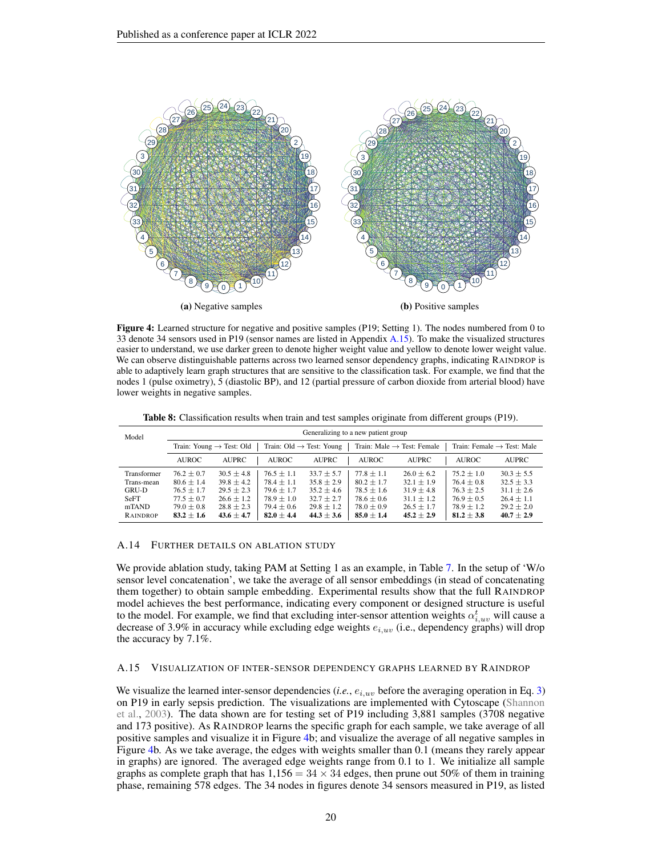<span id="page-19-1"></span>

Figure 4: Learned structure for negative and positive samples (P19; Setting 1). The nodes numbered from 0 to 33 denote 34 sensors used in P19 (sensor names are listed in Appendix [A.15\)](#page-19-2). To make the visualized structures easier to understand, we use darker green to denote higher weight value and yellow to denote lower weight value. We can observe distinguishable patterns across two learned sensor dependency graphs, indicating RAINDROP is able to adaptively learn graph structures that are sensitive to the classification task. For example, we find that the nodes 1 (pulse oximetry), 5 (diastolic BP), and 12 (partial pressure of carbon dioxide from arterial blood) have lower weights in negative samples.

<span id="page-19-3"></span>

| Model       | Generalizing to a new patient group |                                      |                |                                      |                |                                        |                                        |                |  |  |  |
|-------------|-------------------------------------|--------------------------------------|----------------|--------------------------------------|----------------|----------------------------------------|----------------------------------------|----------------|--|--|--|
|             |                                     | Train: Young $\rightarrow$ Test: Old |                | Train: Old $\rightarrow$ Test: Young |                | Train: Male $\rightarrow$ Test: Female | Train: Female $\rightarrow$ Test: Male |                |  |  |  |
|             | <b>AUROC</b>                        | <b>AUPRC</b>                         | <b>AUROC</b>   | <b>AUPRC</b>                         | <b>AUROC</b>   | <b>AUPRC</b>                           | <b>AUROC</b>                           | <b>AUPRC</b>   |  |  |  |
| Transformer | $76.2 \pm 0.7$                      | $30.5 \pm 4.8$                       | $76.5 \pm 1.1$ | $33.7 \pm 5.7$                       | $77.8 \pm 1.1$ | $26.0 \pm 6.2$                         | $75.2 \pm 1.0$                         | $30.3 \pm 5.5$ |  |  |  |
| Trans-mean  | $80.6 \pm 1.4$                      | $39.8 \pm 4.2$                       | $78.4 \pm 1.1$ | $35.8 \pm 2.9$                       | $80.2 \pm 1.7$ | $32.1 \pm 1.9$                         | $76.4 \pm 0.8$                         | $32.5 \pm 3.3$ |  |  |  |
| GRU-D       | $76.5 \pm 1.7$                      | $29.5 \pm 2.3$                       | $79.6 \pm 1.7$ | $35.2 \pm 4.6$                       | $78.5 \pm 1.6$ | $31.9 \pm 4.8$                         | $76.3 \pm 2.5$                         | $31.1 \pm 2.6$ |  |  |  |
| SeFT        | $77.5 \pm 0.7$                      | $26.6 \pm 1.2$                       | $78.9 \pm 1.0$ | $32.7 \pm 2.7$                       | $78.6 \pm 0.6$ | $31.1 \pm 1.2$                         | $76.9 + 0.5$                           | $26.4 \pm 1.1$ |  |  |  |
| mTAND       | $79.0 \pm 0.8$                      | $28.8 \pm 2.3$                       | $79.4 \pm 0.6$ | $29.8 \pm 1.2$                       | $78.0 \pm 0.9$ | $26.5 \pm 1.7$                         | $78.9 \pm 1.2$                         | $29.2 \pm 2.0$ |  |  |  |
| RAINDROP    | $83.2 \pm 1.6$                      | $43.6 \pm 4.7$                       | $82.0 \pm 4.4$ | $44.3 \pm 3.6$                       | $85.0 \pm 1.4$ | $45.2 \pm 2.9$                         | $81.2 \pm 3.8$                         | $40.7 \pm 2.9$ |  |  |  |

Table 8: Classification results when train and test samples originate from different groups (P19).

### <span id="page-19-0"></span>A.14 FURTHER DETAILS ON ABLATION STUDY

We provide ablation study, taking PAM at Setting 1 as an example, in Table [7.](#page-18-1) In the setup of 'W/o sensor level concatenation', we take the average of all sensor embeddings (in stead of concatenating them together) to obtain sample embedding. Experimental results show that the full RAINDROP model achieves the best performance, indicating every component or designed structure is useful to the model. For example, we find that excluding inter-sensor attention weights  $\alpha_{i,uv}^{t}$  will cause a decrease of 3.9% in accuracy while excluding edge weights  $e_{i,uv}$  (i.e., dependency graphs) will drop the accuracy by 7.1%.

#### <span id="page-19-2"></span>A.15 VISUALIZATION OF INTER-SENSOR DEPENDENCY GRAPHS LEARNED BY RAINDROP

We visualize the learned inter-sensor dependencies (*i.e.*,  $e_{i,uv}$  before the averaging operation in Eq. [3\)](#page-5-1) on P19 in early sepsis prediction. The visualizations are implemented with Cytoscape [\(Shannon](#page-12-17) [et al.,](#page-12-17) [2003\)](#page-12-17). The data shown are for testing set of P19 including 3,881 samples (3708 negative and 173 positive). As RAINDROP learns the specific graph for each sample, we take average of all positive samples and visualize it in Figure [4b](#page-19-1); and visualize the average of all negative samples in Figure [4b](#page-19-1). As we take average, the edges with weights smaller than 0.1 (means they rarely appear in graphs) are ignored. The averaged edge weights range from 0.1 to 1. We initialize all sample graphs as complete graph that has  $1,156 = 34 \times 34$  edges, then prune out 50% of them in training phase, remaining 578 edges. The 34 nodes in figures denote 34 sensors measured in P19, as listed